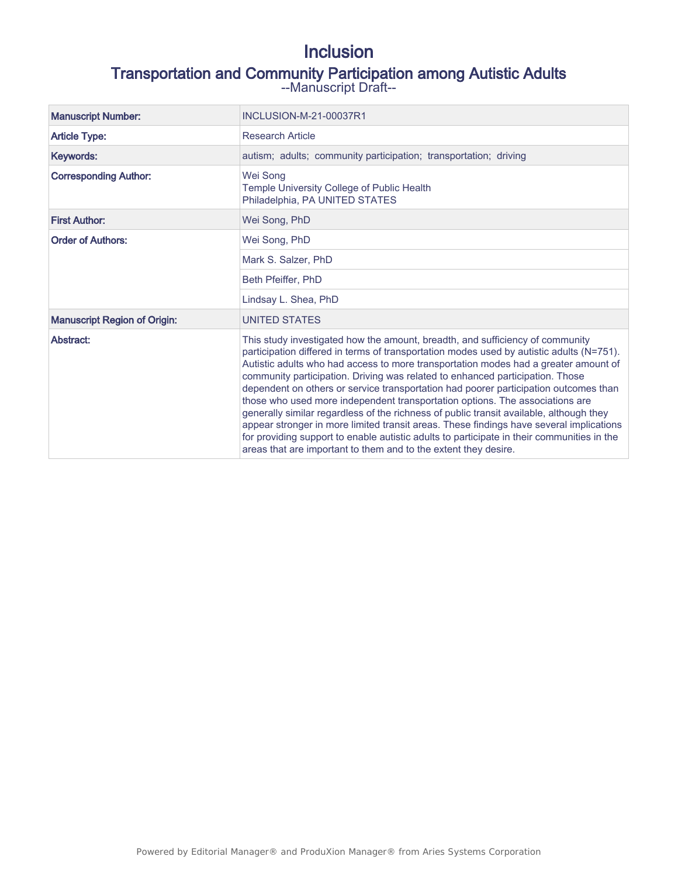# Inclusion

# Transportation and Community Participation among Autistic Adults

--Manuscript Draft--

| <b>Manuscript Number:</b>           | INCLUSION-M-21-00037R1                                                                                                                                                                                                                                                                                                                                                                                                                                                                                                                                                                                                                                                                                                                                                                                                                                                           |
|-------------------------------------|----------------------------------------------------------------------------------------------------------------------------------------------------------------------------------------------------------------------------------------------------------------------------------------------------------------------------------------------------------------------------------------------------------------------------------------------------------------------------------------------------------------------------------------------------------------------------------------------------------------------------------------------------------------------------------------------------------------------------------------------------------------------------------------------------------------------------------------------------------------------------------|
| <b>Article Type:</b>                | <b>Research Article</b>                                                                                                                                                                                                                                                                                                                                                                                                                                                                                                                                                                                                                                                                                                                                                                                                                                                          |
| Keywords:                           | autism; adults; community participation; transportation; driving                                                                                                                                                                                                                                                                                                                                                                                                                                                                                                                                                                                                                                                                                                                                                                                                                 |
| <b>Corresponding Author:</b>        | Wei Song<br>Temple University College of Public Health<br>Philadelphia, PA UNITED STATES                                                                                                                                                                                                                                                                                                                                                                                                                                                                                                                                                                                                                                                                                                                                                                                         |
| <b>First Author:</b>                | Wei Song, PhD                                                                                                                                                                                                                                                                                                                                                                                                                                                                                                                                                                                                                                                                                                                                                                                                                                                                    |
| <b>Order of Authors:</b>            | Wei Song, PhD                                                                                                                                                                                                                                                                                                                                                                                                                                                                                                                                                                                                                                                                                                                                                                                                                                                                    |
|                                     | Mark S. Salzer, PhD                                                                                                                                                                                                                                                                                                                                                                                                                                                                                                                                                                                                                                                                                                                                                                                                                                                              |
|                                     | Beth Pfeiffer, PhD                                                                                                                                                                                                                                                                                                                                                                                                                                                                                                                                                                                                                                                                                                                                                                                                                                                               |
|                                     | Lindsay L. Shea, PhD                                                                                                                                                                                                                                                                                                                                                                                                                                                                                                                                                                                                                                                                                                                                                                                                                                                             |
| <b>Manuscript Region of Origin:</b> | UNITED STATES                                                                                                                                                                                                                                                                                                                                                                                                                                                                                                                                                                                                                                                                                                                                                                                                                                                                    |
| Abstract:                           | This study investigated how the amount, breadth, and sufficiency of community<br>participation differed in terms of transportation modes used by autistic adults (N=751).<br>Autistic adults who had access to more transportation modes had a greater amount of<br>community participation. Driving was related to enhanced participation. Those<br>dependent on others or service transportation had poorer participation outcomes than<br>those who used more independent transportation options. The associations are<br>generally similar regardless of the richness of public transit available, although they<br>appear stronger in more limited transit areas. These findings have several implications<br>for providing support to enable autistic adults to participate in their communities in the<br>areas that are important to them and to the extent they desire. |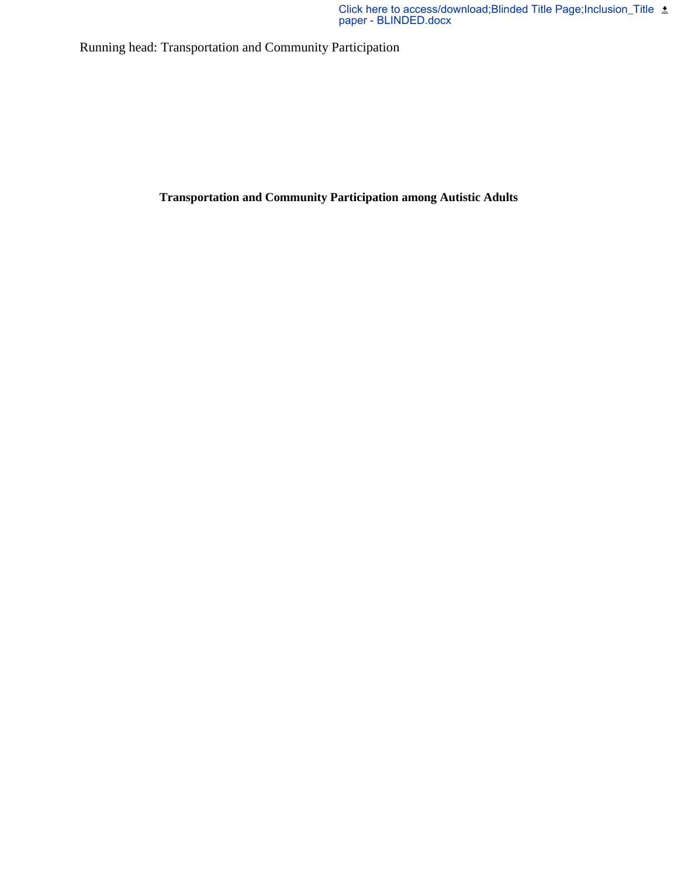Running head: Transportation and Community Participation

**Transportation and Community Participation among Autistic Adults**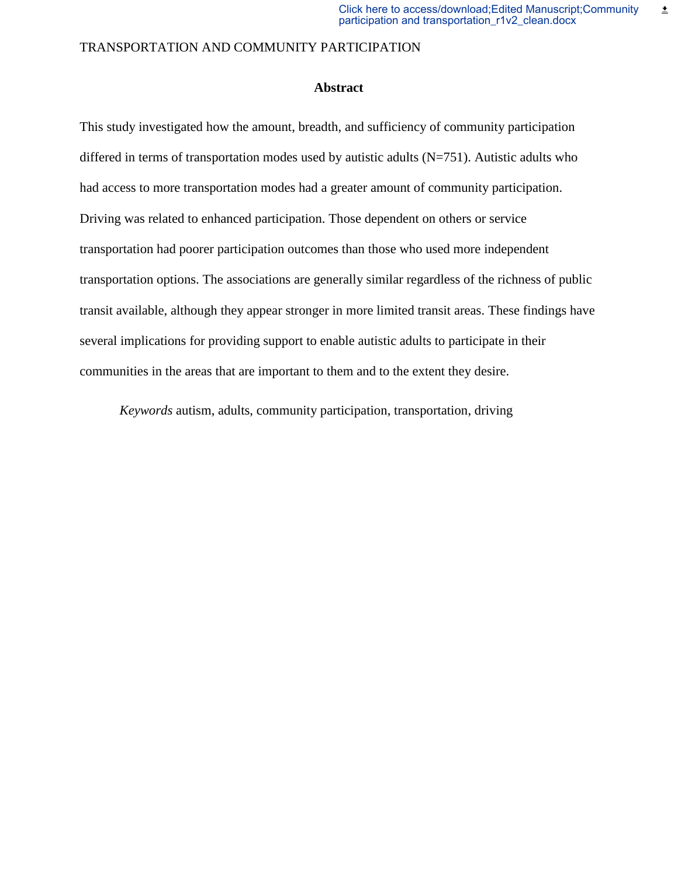# **Abstract**

This study investigated how the amount, breadth, and sufficiency of community participation differed in terms of transportation modes used by autistic adults (N=751). Autistic adults who had access to more transportation modes had a greater amount of community participation. Driving was related to enhanced participation. Those dependent on others or service transportation had poorer participation outcomes than those who used more independent transportation options. The associations are generally similar regardless of the richness of public transit available, although they appear stronger in more limited transit areas. These findings have several implications for providing support to enable autistic adults to participate in their communities in the areas that are important to them and to the extent they desire.

*Keywords* autism, adults, community participation, transportation, driving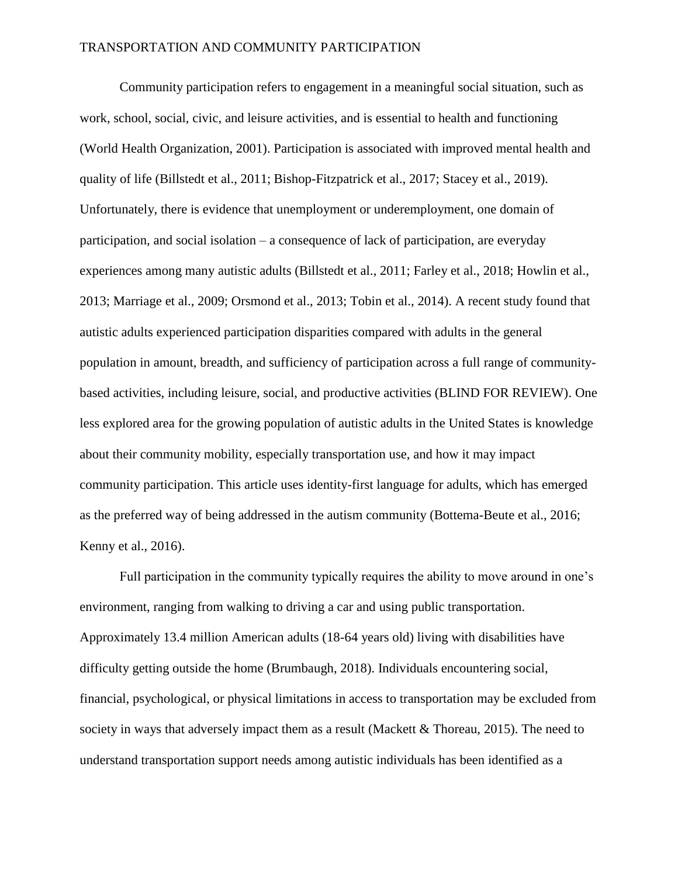Community participation refers to engagement in a meaningful social situation, such as work, school, social, civic, and leisure activities, and is essential to health and functioning (World Health Organization, 2001). Participation is associated with improved mental health and quality of life (Billstedt et al., 2011; Bishop-Fitzpatrick et al., 2017; Stacey et al., 2019). Unfortunately, there is evidence that unemployment or underemployment, one domain of participation, and social isolation – a consequence of lack of participation, are everyday experiences among many autistic adults (Billstedt et al., 2011; Farley et al., 2018; Howlin et al., 2013; Marriage et al., 2009; Orsmond et al., 2013; Tobin et al., 2014). A recent study found that autistic adults experienced participation disparities compared with adults in the general population in amount, breadth, and sufficiency of participation across a full range of communitybased activities, including leisure, social, and productive activities (BLIND FOR REVIEW). One less explored area for the growing population of autistic adults in the United States is knowledge about their community mobility, especially transportation use, and how it may impact community participation. This article uses identity-first language for adults, which has emerged as the preferred way of being addressed in the autism community (Bottema-Beute et al., 2016; Kenny et al., 2016).

Full participation in the community typically requires the ability to move around in one's environment, ranging from walking to driving a car and using public transportation. Approximately 13.4 million American adults (18-64 years old) living with disabilities have difficulty getting outside the home (Brumbaugh, 2018). Individuals encountering social, financial, psychological, or physical limitations in access to transportation may be excluded from society in ways that adversely impact them as a result (Mackett & Thoreau, 2015). The need to understand transportation support needs among autistic individuals has been identified as a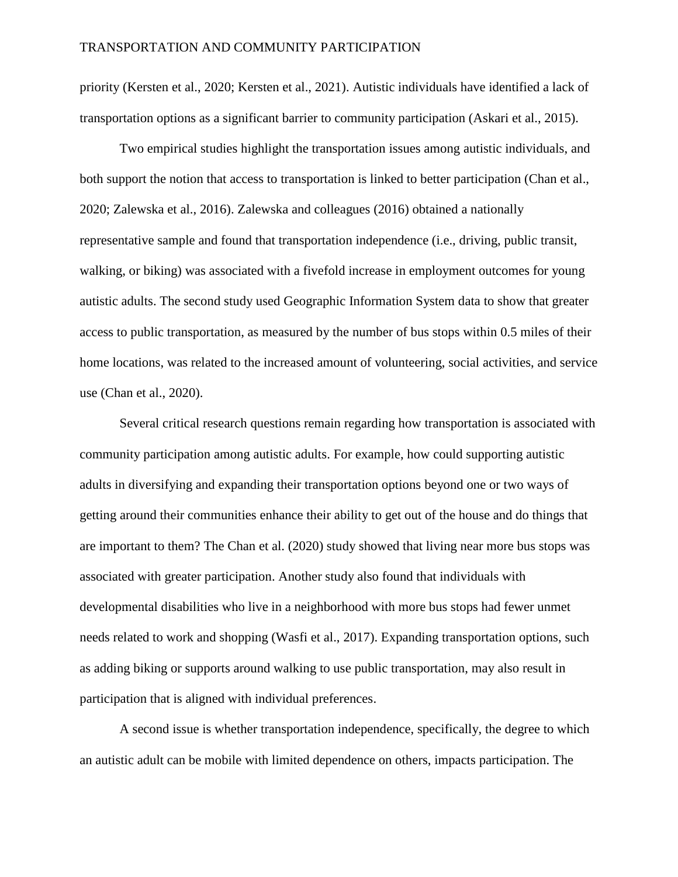priority (Kersten et al., 2020; Kersten et al., 2021). Autistic individuals have identified a lack of transportation options as a significant barrier to community participation (Askari et al., 2015).

Two empirical studies highlight the transportation issues among autistic individuals, and both support the notion that access to transportation is linked to better participation (Chan et al., 2020; Zalewska et al., 2016). Zalewska and colleagues (2016) obtained a nationally representative sample and found that transportation independence (i.e., driving, public transit, walking, or biking) was associated with a fivefold increase in employment outcomes for young autistic adults. The second study used Geographic Information System data to show that greater access to public transportation, as measured by the number of bus stops within 0.5 miles of their home locations, was related to the increased amount of volunteering, social activities, and service use (Chan et al., 2020).

Several critical research questions remain regarding how transportation is associated with community participation among autistic adults. For example, how could supporting autistic adults in diversifying and expanding their transportation options beyond one or two ways of getting around their communities enhance their ability to get out of the house and do things that are important to them? The Chan et al. (2020) study showed that living near more bus stops was associated with greater participation. Another study also found that individuals with developmental disabilities who live in a neighborhood with more bus stops had fewer unmet needs related to work and shopping (Wasfi et al., 2017). Expanding transportation options, such as adding biking or supports around walking to use public transportation, may also result in participation that is aligned with individual preferences.

A second issue is whether transportation independence, specifically, the degree to which an autistic adult can be mobile with limited dependence on others, impacts participation. The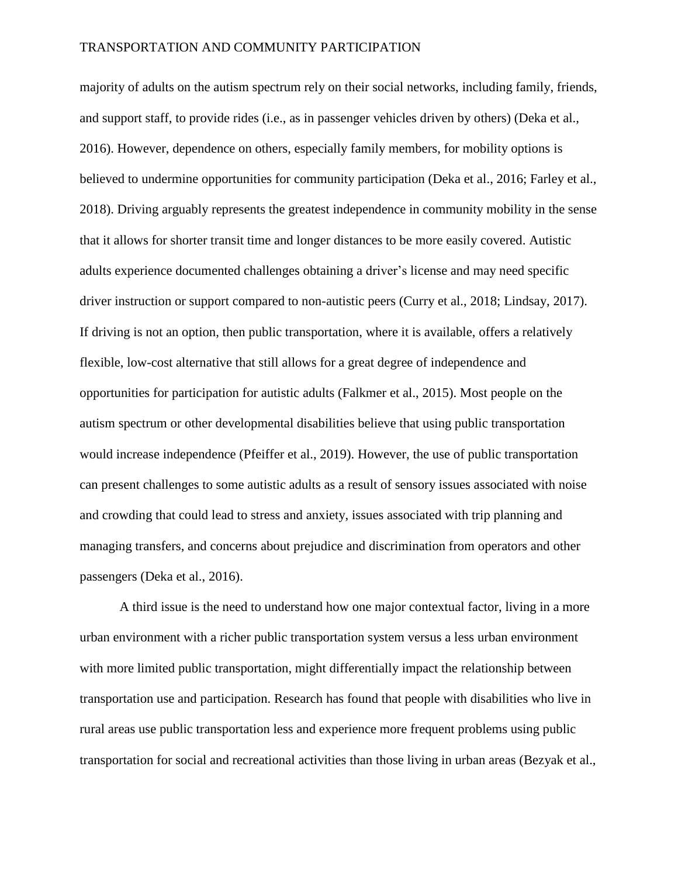majority of adults on the autism spectrum rely on their social networks, including family, friends, and support staff, to provide rides (i.e., as in passenger vehicles driven by others) (Deka et al., 2016). However, dependence on others, especially family members, for mobility options is believed to undermine opportunities for community participation (Deka et al., 2016; Farley et al., 2018). Driving arguably represents the greatest independence in community mobility in the sense that it allows for shorter transit time and longer distances to be more easily covered. Autistic adults experience documented challenges obtaining a driver's license and may need specific driver instruction or support compared to non-autistic peers (Curry et al., 2018; Lindsay, 2017). If driving is not an option, then public transportation, where it is available, offers a relatively flexible, low-cost alternative that still allows for a great degree of independence and opportunities for participation for autistic adults (Falkmer et al., 2015). Most people on the autism spectrum or other developmental disabilities believe that using public transportation would increase independence (Pfeiffer et al., 2019). However, the use of public transportation can present challenges to some autistic adults as a result of sensory issues associated with noise and crowding that could lead to stress and anxiety, issues associated with trip planning and managing transfers, and concerns about prejudice and discrimination from operators and other passengers (Deka et al., 2016).

A third issue is the need to understand how one major contextual factor, living in a more urban environment with a richer public transportation system versus a less urban environment with more limited public transportation, might differentially impact the relationship between transportation use and participation. Research has found that people with disabilities who live in rural areas use public transportation less and experience more frequent problems using public transportation for social and recreational activities than those living in urban areas (Bezyak et al.,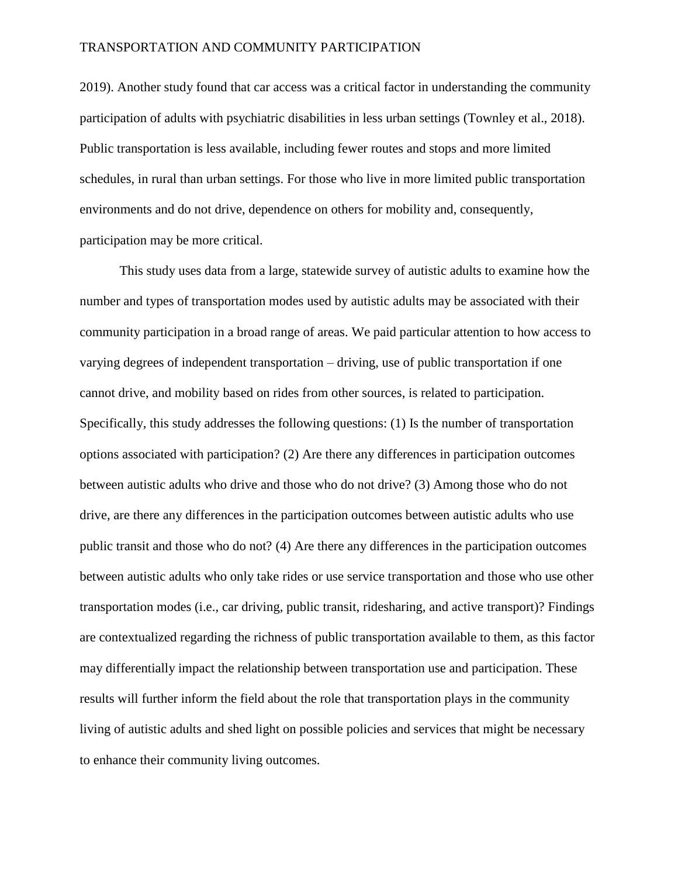2019). Another study found that car access was a critical factor in understanding the community participation of adults with psychiatric disabilities in less urban settings (Townley et al., 2018). Public transportation is less available, including fewer routes and stops and more limited schedules, in rural than urban settings. For those who live in more limited public transportation environments and do not drive, dependence on others for mobility and, consequently, participation may be more critical.

This study uses data from a large, statewide survey of autistic adults to examine how the number and types of transportation modes used by autistic adults may be associated with their community participation in a broad range of areas. We paid particular attention to how access to varying degrees of independent transportation – driving, use of public transportation if one cannot drive, and mobility based on rides from other sources, is related to participation. Specifically, this study addresses the following questions: (1) Is the number of transportation options associated with participation? (2) Are there any differences in participation outcomes between autistic adults who drive and those who do not drive? (3) Among those who do not drive, are there any differences in the participation outcomes between autistic adults who use public transit and those who do not? (4) Are there any differences in the participation outcomes between autistic adults who only take rides or use service transportation and those who use other transportation modes (i.e., car driving, public transit, ridesharing, and active transport)? Findings are contextualized regarding the richness of public transportation available to them, as this factor may differentially impact the relationship between transportation use and participation. These results will further inform the field about the role that transportation plays in the community living of autistic adults and shed light on possible policies and services that might be necessary to enhance their community living outcomes.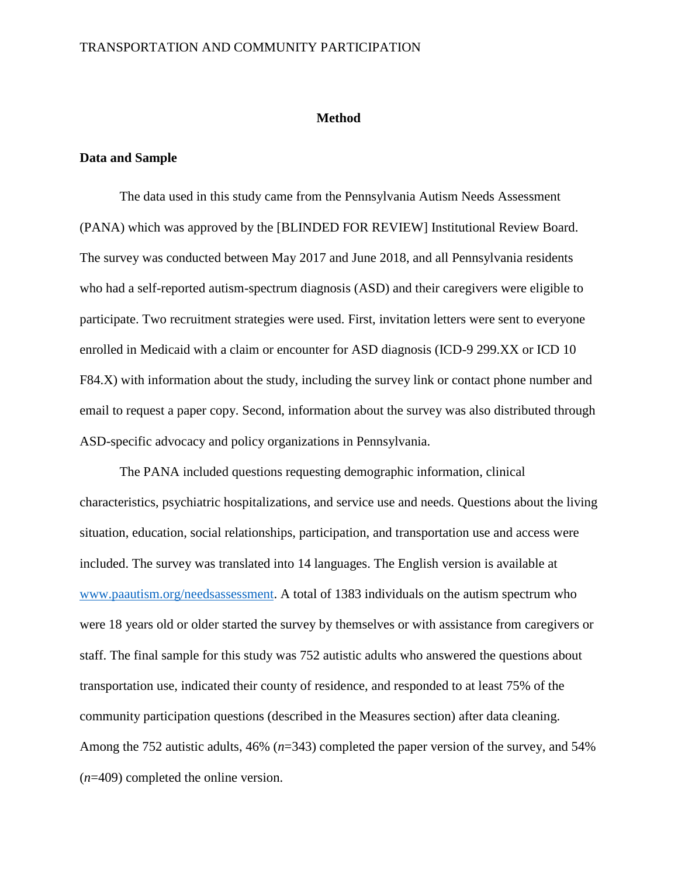### **Method**

# **Data and Sample**

The data used in this study came from the Pennsylvania Autism Needs Assessment (PANA) which was approved by the [BLINDED FOR REVIEW] Institutional Review Board. The survey was conducted between May 2017 and June 2018, and all Pennsylvania residents who had a self-reported autism-spectrum diagnosis (ASD) and their caregivers were eligible to participate. Two recruitment strategies were used. First, invitation letters were sent to everyone enrolled in Medicaid with a claim or encounter for ASD diagnosis (ICD-9 299.XX or ICD 10 F84.X) with information about the study, including the survey link or contact phone number and email to request a paper copy. Second, information about the survey was also distributed through ASD-specific advocacy and policy organizations in Pennsylvania.

The PANA included questions requesting demographic information, clinical characteristics, psychiatric hospitalizations, and service use and needs. Questions about the living situation, education, social relationships, participation, and transportation use and access were included. The survey was translated into 14 languages. The English version is available at [www.paautism.org/needsassessment.](http://www.paautism.org/needsassessment) A total of 1383 individuals on the autism spectrum who were 18 years old or older started the survey by themselves or with assistance from caregivers or staff. The final sample for this study was 752 autistic adults who answered the questions about transportation use, indicated their county of residence, and responded to at least 75% of the community participation questions (described in the Measures section) after data cleaning. Among the 752 autistic adults, 46% (*n*=343) completed the paper version of the survey, and 54% (*n*=409) completed the online version.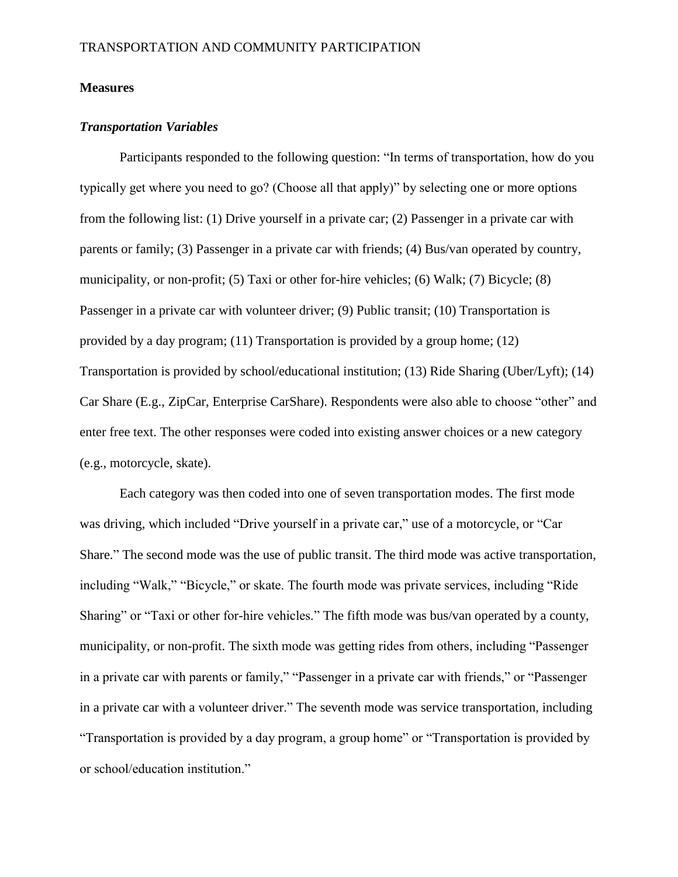# **Measures**

# *Transportation Variables*

Participants responded to the following question: "In terms of transportation, how do you typically get where you need to go? (Choose all that apply)" by selecting one or more options from the following list: (1) Drive yourself in a private car; (2) Passenger in a private car with parents or family; (3) Passenger in a private car with friends; (4) Bus/van operated by country, municipality, or non-profit; (5) Taxi or other for-hire vehicles; (6) Walk; (7) Bicycle; (8) Passenger in a private car with volunteer driver; (9) Public transit; (10) Transportation is provided by a day program; (11) Transportation is provided by a group home; (12) Transportation is provided by school/educational institution; (13) Ride Sharing (Uber/Lyft); (14) Car Share (E.g., ZipCar, Enterprise CarShare). Respondents were also able to choose "other" and enter free text. The other responses were coded into existing answer choices or a new category (e.g., motorcycle, skate).

Each category was then coded into one of seven transportation modes. The first mode was driving, which included "Drive yourself in a private car," use of a motorcycle, or "Car Share." The second mode was the use of public transit. The third mode was active transportation, including "Walk," "Bicycle," or skate. The fourth mode was private services, including "Ride Sharing" or "Taxi or other for-hire vehicles." The fifth mode was bus/van operated by a county, municipality, or non-profit. The sixth mode was getting rides from others, including "Passenger in a private car with parents or family," "Passenger in a private car with friends," or "Passenger in a private car with a volunteer driver." The seventh mode was service transportation, including "Transportation is provided by a day program, a group home" or "Transportation is provided by or school/education institution."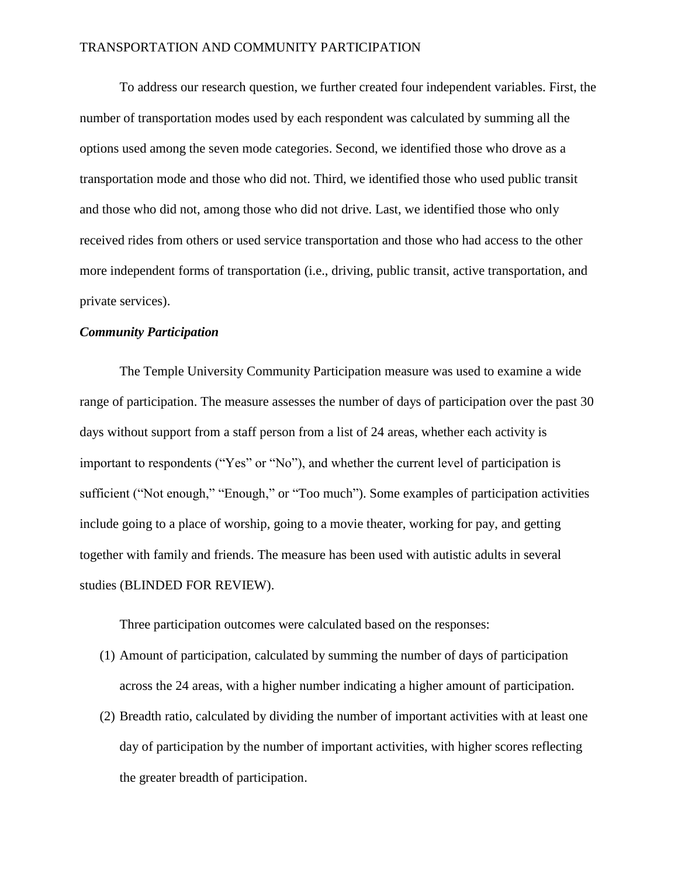To address our research question, we further created four independent variables. First, the number of transportation modes used by each respondent was calculated by summing all the options used among the seven mode categories. Second, we identified those who drove as a transportation mode and those who did not. Third, we identified those who used public transit and those who did not, among those who did not drive. Last, we identified those who only received rides from others or used service transportation and those who had access to the other more independent forms of transportation (i.e., driving, public transit, active transportation, and private services).

# *Community Participation*

The Temple University Community Participation measure was used to examine a wide range of participation. The measure assesses the number of days of participation over the past 30 days without support from a staff person from a list of 24 areas, whether each activity is important to respondents ("Yes" or "No"), and whether the current level of participation is sufficient ("Not enough," "Enough," or "Too much"). Some examples of participation activities include going to a place of worship, going to a movie theater, working for pay, and getting together with family and friends. The measure has been used with autistic adults in several studies (BLINDED FOR REVIEW).

Three participation outcomes were calculated based on the responses:

- (1) Amount of participation*,* calculated by summing the number of days of participation across the 24 areas, with a higher number indicating a higher amount of participation.
- (2) Breadth ratio, calculated by dividing the number of important activities with at least one day of participation by the number of important activities, with higher scores reflecting the greater breadth of participation.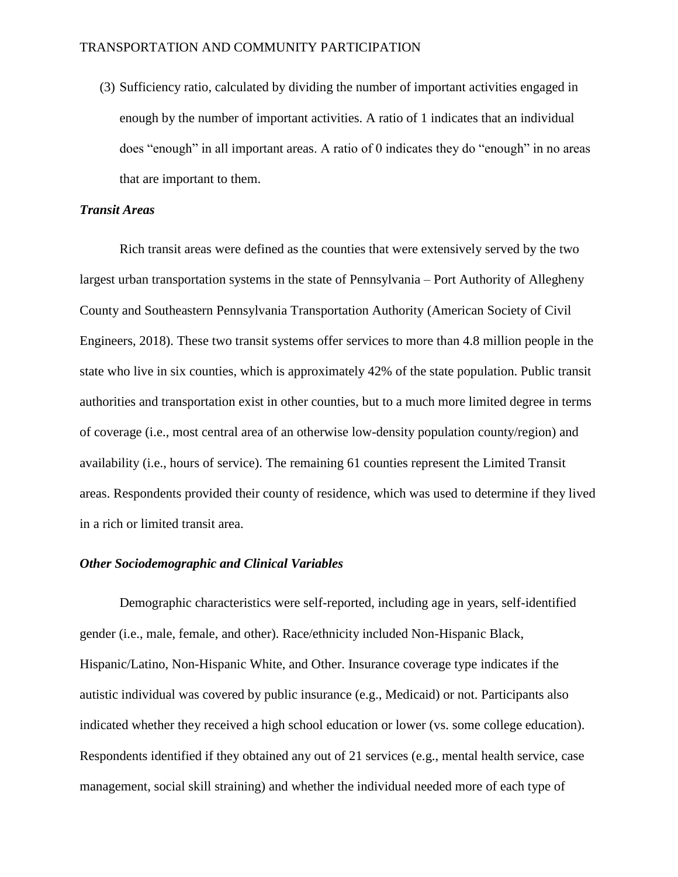(3) Sufficiency ratio, calculated by dividing the number of important activities engaged in enough by the number of important activities. A ratio of 1 indicates that an individual does "enough" in all important areas. A ratio of 0 indicates they do "enough" in no areas that are important to them.

# *Transit Areas*

Rich transit areas were defined as the counties that were extensively served by the two largest urban transportation systems in the state of Pennsylvania – Port Authority of Allegheny County and Southeastern Pennsylvania Transportation Authority (American Society of Civil Engineers, 2018). These two transit systems offer services to more than 4.8 million people in the state who live in six counties, which is approximately 42% of the state population. Public transit authorities and transportation exist in other counties, but to a much more limited degree in terms of coverage (i.e., most central area of an otherwise low-density population county/region) and availability (i.e., hours of service). The remaining 61 counties represent the Limited Transit areas. Respondents provided their county of residence, which was used to determine if they lived in a rich or limited transit area.

# *Other Sociodemographic and Clinical Variables*

Demographic characteristics were self-reported, including age in years, self-identified gender (i.e., male, female, and other). Race/ethnicity included Non-Hispanic Black, Hispanic/Latino, Non-Hispanic White, and Other. Insurance coverage type indicates if the autistic individual was covered by public insurance (e.g., Medicaid) or not. Participants also indicated whether they received a high school education or lower (vs. some college education). Respondents identified if they obtained any out of 21 services (e.g., mental health service, case management, social skill straining) and whether the individual needed more of each type of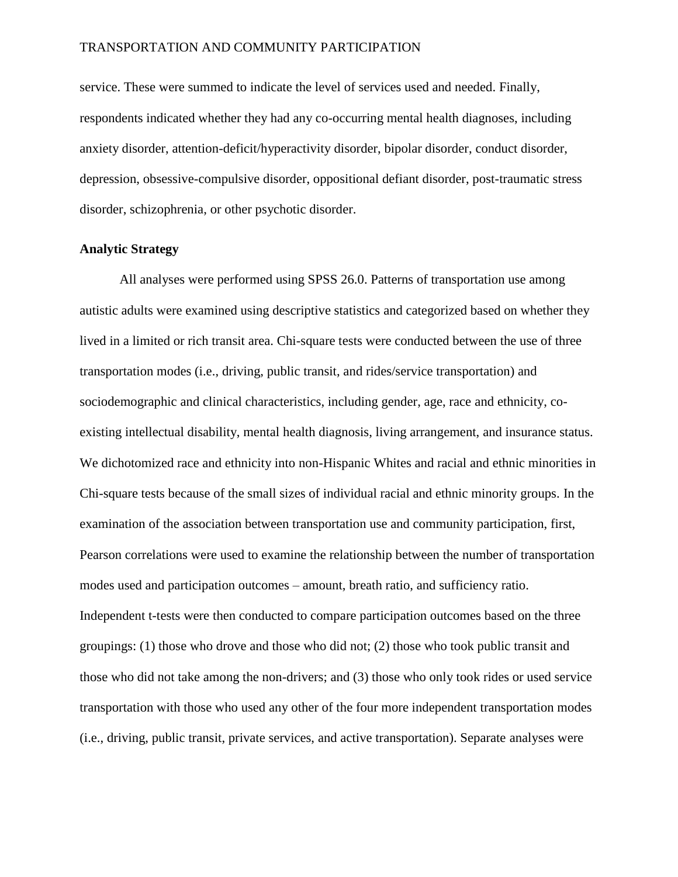service. These were summed to indicate the level of services used and needed. Finally, respondents indicated whether they had any co-occurring mental health diagnoses, including anxiety disorder, attention-deficit/hyperactivity disorder, bipolar disorder, conduct disorder, depression, obsessive-compulsive disorder, oppositional defiant disorder, post-traumatic stress disorder, schizophrenia, or other psychotic disorder.

# **Analytic Strategy**

All analyses were performed using SPSS 26.0. Patterns of transportation use among autistic adults were examined using descriptive statistics and categorized based on whether they lived in a limited or rich transit area. Chi-square tests were conducted between the use of three transportation modes (i.e., driving, public transit, and rides/service transportation) and sociodemographic and clinical characteristics, including gender, age, race and ethnicity, coexisting intellectual disability, mental health diagnosis, living arrangement, and insurance status. We dichotomized race and ethnicity into non-Hispanic Whites and racial and ethnic minorities in Chi-square tests because of the small sizes of individual racial and ethnic minority groups. In the examination of the association between transportation use and community participation, first, Pearson correlations were used to examine the relationship between the number of transportation modes used and participation outcomes – amount, breath ratio, and sufficiency ratio. Independent t-tests were then conducted to compare participation outcomes based on the three groupings: (1) those who drove and those who did not; (2) those who took public transit and those who did not take among the non-drivers; and (3) those who only took rides or used service transportation with those who used any other of the four more independent transportation modes (i.e., driving, public transit, private services, and active transportation). Separate analyses were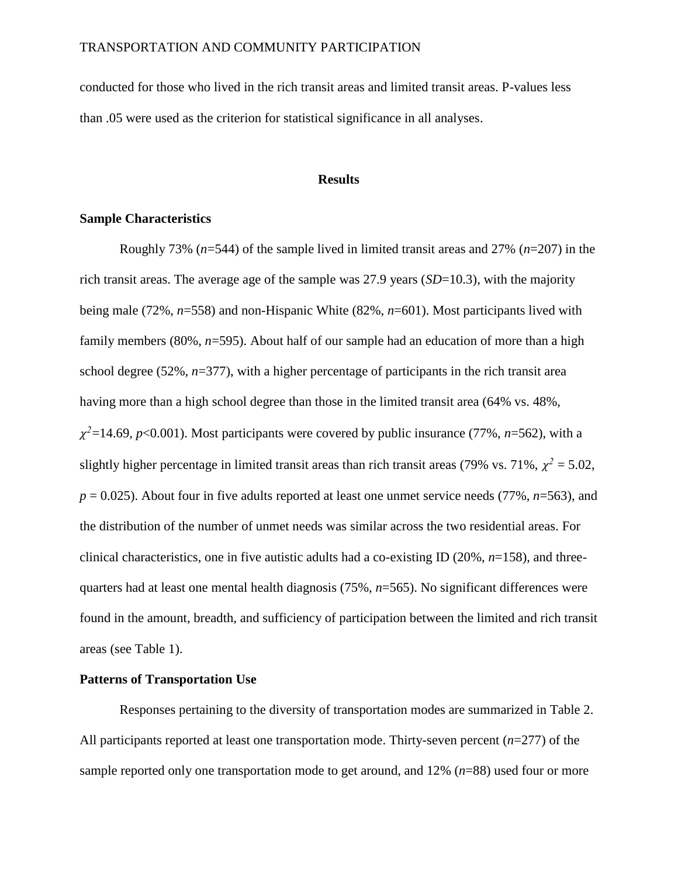conducted for those who lived in the rich transit areas and limited transit areas. P-values less than .05 were used as the criterion for statistical significance in all analyses.

# **Results**

# **Sample Characteristics**

Roughly 73% (*n*=544) of the sample lived in limited transit areas and 27% (*n*=207) in the rich transit areas. The average age of the sample was 27.9 years (*SD*=10.3), with the majority being male (72%, *n*=558) and non-Hispanic White (82%, *n*=601). Most participants lived with family members (80%,  $n=595$ ). About half of our sample had an education of more than a high school degree (52%, *n*=377), with a higher percentage of participants in the rich transit area having more than a high school degree than those in the limited transit area (64% vs. 48%,  $\chi^2$ =14.69, *p*<0.001). Most participants were covered by public insurance (77%, *n*=562), with a slightly higher percentage in limited transit areas than rich transit areas (79% vs. 71%,  $\chi^2 = 5.02$ ,  $p = 0.025$ ). About four in five adults reported at least one unmet service needs (77%, *n*=563), and the distribution of the number of unmet needs was similar across the two residential areas. For clinical characteristics, one in five autistic adults had a co-existing ID (20%, *n*=158), and threequarters had at least one mental health diagnosis (75%, *n*=565). No significant differences were found in the amount, breadth, and sufficiency of participation between the limited and rich transit areas (see Table 1).

# **Patterns of Transportation Use**

Responses pertaining to the diversity of transportation modes are summarized in Table 2. All participants reported at least one transportation mode. Thirty-seven percent (*n*=277) of the sample reported only one transportation mode to get around, and 12% (*n*=88) used four or more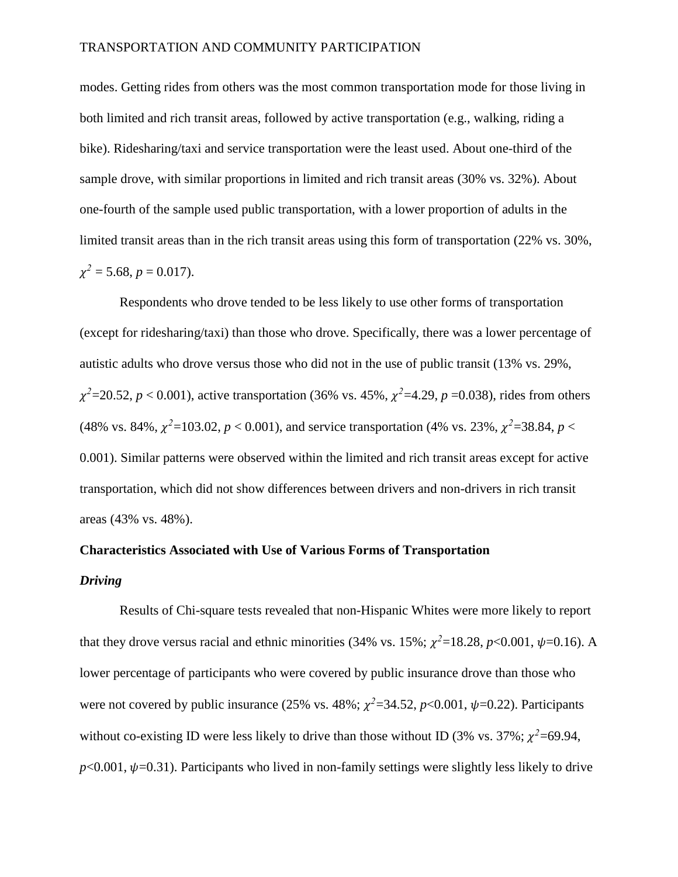modes. Getting rides from others was the most common transportation mode for those living in both limited and rich transit areas, followed by active transportation (e.g., walking, riding a bike). Ridesharing/taxi and service transportation were the least used. About one-third of the sample drove, with similar proportions in limited and rich transit areas (30% vs. 32%). About one-fourth of the sample used public transportation, with a lower proportion of adults in the limited transit areas than in the rich transit areas using this form of transportation (22% vs. 30%,  $\chi^2$  = 5.68, *p* = 0.017).

Respondents who drove tended to be less likely to use other forms of transportation (except for ridesharing/taxi) than those who drove. Specifically, there was a lower percentage of autistic adults who drove versus those who did not in the use of public transit (13% vs. 29%,  $\chi^2$ =20.52, *p* < 0.001), active transportation (36% vs. 45%,  $\chi^2$ =4.29, *p* =0.038), rides from others (48% vs. 84%,  $\chi^2$ =103.02, *p* < 0.001), and service transportation (4% vs. 23%,  $\chi^2$ =38.84, *p* < 0.001). Similar patterns were observed within the limited and rich transit areas except for active transportation, which did not show differences between drivers and non-drivers in rich transit areas (43% vs. 48%).

# **Characteristics Associated with Use of Various Forms of Transportation**

# *Driving*

Results of Chi-square tests revealed that non-Hispanic Whites were more likely to report that they drove versus racial and ethnic minorities (34% vs. 15%;  $\chi^2$ =18.28, *p*<0.001,  $\psi$ =0.16). A lower percentage of participants who were covered by public insurance drove than those who were not covered by public insurance (25% vs. 48%;  $\chi^2$ =34.52, *p*<0.001,  $\psi$ =0.22). Participants without co-existing ID were less likely to drive than those without ID (3% vs. 37%;  $\chi^2$ =69.94,  $p<0.001$ ,  $\psi=0.31$ ). Participants who lived in non-family settings were slightly less likely to drive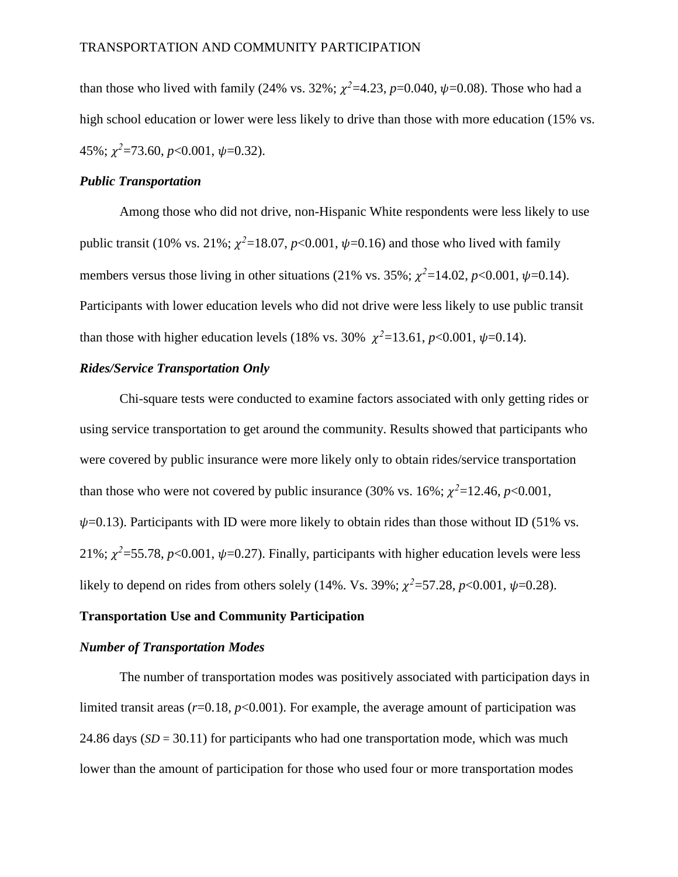than those who lived with family (24% vs. 32%;  $\chi^2$ =4.23, *p*=0.040,  $\psi$ =0.08). Those who had a high school education or lower were less likely to drive than those with more education (15% vs.  $45\%; \chi^2 = 73.60, p < 0.001, \psi = 0.32).$ 

# *Public Transportation*

Among those who did not drive, non-Hispanic White respondents were less likely to use public transit (10% vs. 21%;  $\chi^2$ =18.07, *p*<0.001,  $\psi$ =0.16) and those who lived with family members versus those living in other situations (21% vs. 35%;  $\chi^2$ =14.02, *p*<0.001,  $\psi$ =0.14). Participants with lower education levels who did not drive were less likely to use public transit than those with higher education levels (18% vs. 30%  $\chi^2$ =13.61, *p*<0.001,  $\psi$ =0.14).

# *Rides/Service Transportation Only*

Chi-square tests were conducted to examine factors associated with only getting rides or using service transportation to get around the community. Results showed that participants who were covered by public insurance were more likely only to obtain rides/service transportation than those who were not covered by public insurance (30% vs. 16%;  $\chi^2$ =12.46, *p*<0.001,  $\psi$ =0.13). Participants with ID were more likely to obtain rides than those without ID (51% vs. 21%;  $\chi^2$ =55.78, *p*<0.001,  $\psi$ =0.27). Finally, participants with higher education levels were less likely to depend on rides from others solely (14%. Vs. 39%;  $\chi^2$ =57.28, *p*<0.001,  $\psi$ =0.28).

# **Transportation Use and Community Participation**

# *Number of Transportation Modes*

The number of transportation modes was positively associated with participation days in limited transit areas  $(r=0.18, p<0.001)$ . For example, the average amount of participation was 24.86 days  $(SD = 30.11)$  for participants who had one transportation mode, which was much lower than the amount of participation for those who used four or more transportation modes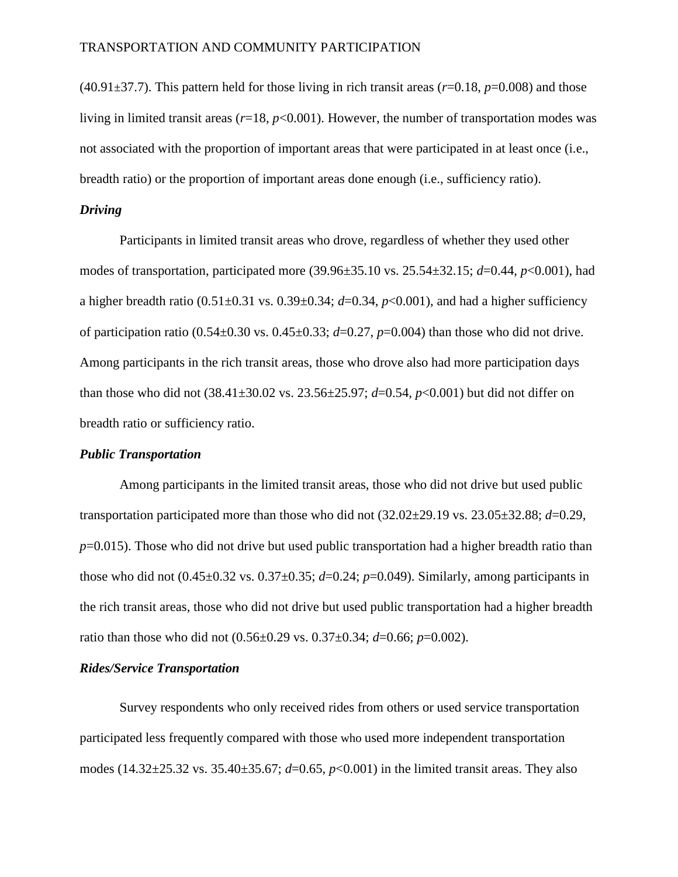$(40.91\pm37.7)$ . This pattern held for those living in rich transit areas ( $r=0.18$ ,  $p=0.008$ ) and those living in limited transit areas  $(r=18, p<0.001)$ . However, the number of transportation modes was not associated with the proportion of important areas that were participated in at least once (i.e., breadth ratio) or the proportion of important areas done enough (i.e., sufficiency ratio).

# *Driving*

Participants in limited transit areas who drove, regardless of whether they used other modes of transportation, participated more (39.96±35.10 vs. 25.54±32.15; *d*=0.44, *p*<0.001), had a higher breadth ratio  $(0.51\pm0.31 \text{ vs. } 0.39\pm0.34; d=0.34, p<0.001)$ , and had a higher sufficiency of participation ratio  $(0.54 \pm 0.30 \text{ vs. } 0.45 \pm 0.33; d = 0.27, p = 0.004)$  than those who did not drive. Among participants in the rich transit areas, those who drove also had more participation days than those who did not (38.41±30.02 vs. 23.56±25.97; *d*=0.54, *p*<0.001) but did not differ on breadth ratio or sufficiency ratio.

# *Public Transportation*

Among participants in the limited transit areas, those who did not drive but used public transportation participated more than those who did not (32.02±29.19 vs. 23.05±32.88; *d*=0.29, *p*=0.015). Those who did not drive but used public transportation had a higher breadth ratio than those who did not  $(0.45\pm0.32 \text{ vs. } 0.37\pm0.35; d=0.24; p=0.049)$ . Similarly, among participants in the rich transit areas, those who did not drive but used public transportation had a higher breadth ratio than those who did not (0.56±0.29 vs. 0.37±0.34; *d*=0.66; *p*=0.002).

# *Rides/Service Transportation*

Survey respondents who only received rides from others or used service transportation participated less frequently compared with those who used more independent transportation modes (14.32±25.32 vs. 35.40±35.67; *d*=0.65, *p*<0.001) in the limited transit areas. They also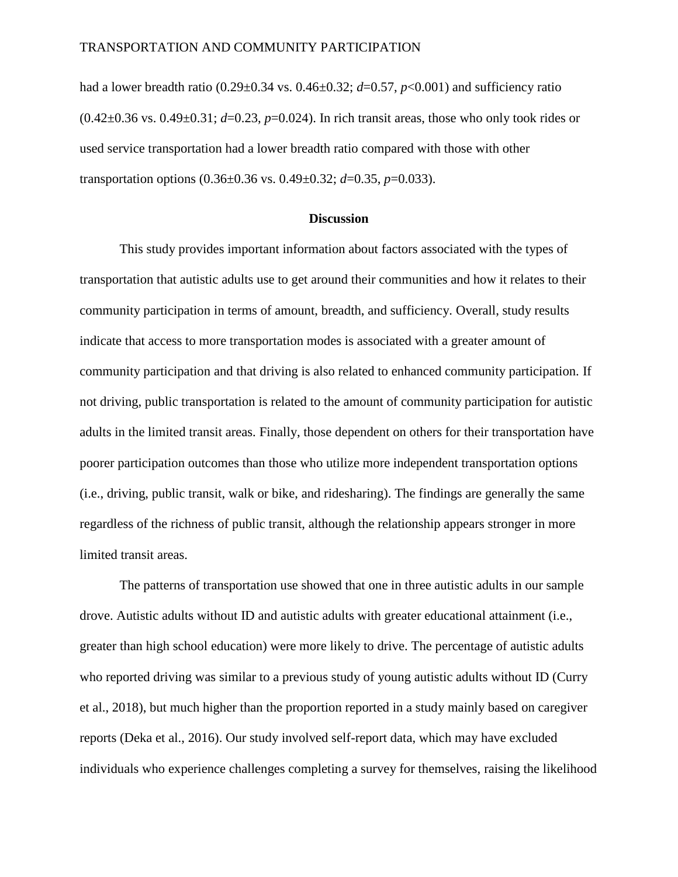had a lower breadth ratio (0.29±0.34 vs. 0.46±0.32; *d*=0.57, *p*<0.001) and sufficiency ratio (0.42±0.36 vs. 0.49±0.31; *d*=0.23, *p*=0.024). In rich transit areas, those who only took rides or used service transportation had a lower breadth ratio compared with those with other transportation options (0.36±0.36 vs. 0.49±0.32; *d*=0.35, *p*=0.033).

# **Discussion**

This study provides important information about factors associated with the types of transportation that autistic adults use to get around their communities and how it relates to their community participation in terms of amount, breadth, and sufficiency. Overall, study results indicate that access to more transportation modes is associated with a greater amount of community participation and that driving is also related to enhanced community participation. If not driving, public transportation is related to the amount of community participation for autistic adults in the limited transit areas. Finally, those dependent on others for their transportation have poorer participation outcomes than those who utilize more independent transportation options (i.e., driving, public transit, walk or bike, and ridesharing). The findings are generally the same regardless of the richness of public transit, although the relationship appears stronger in more limited transit areas.

The patterns of transportation use showed that one in three autistic adults in our sample drove. Autistic adults without ID and autistic adults with greater educational attainment (i.e., greater than high school education) were more likely to drive. The percentage of autistic adults who reported driving was similar to a previous study of young autistic adults without ID (Curry et al., 2018), but much higher than the proportion reported in a study mainly based on caregiver reports (Deka et al., 2016). Our study involved self-report data, which may have excluded individuals who experience challenges completing a survey for themselves, raising the likelihood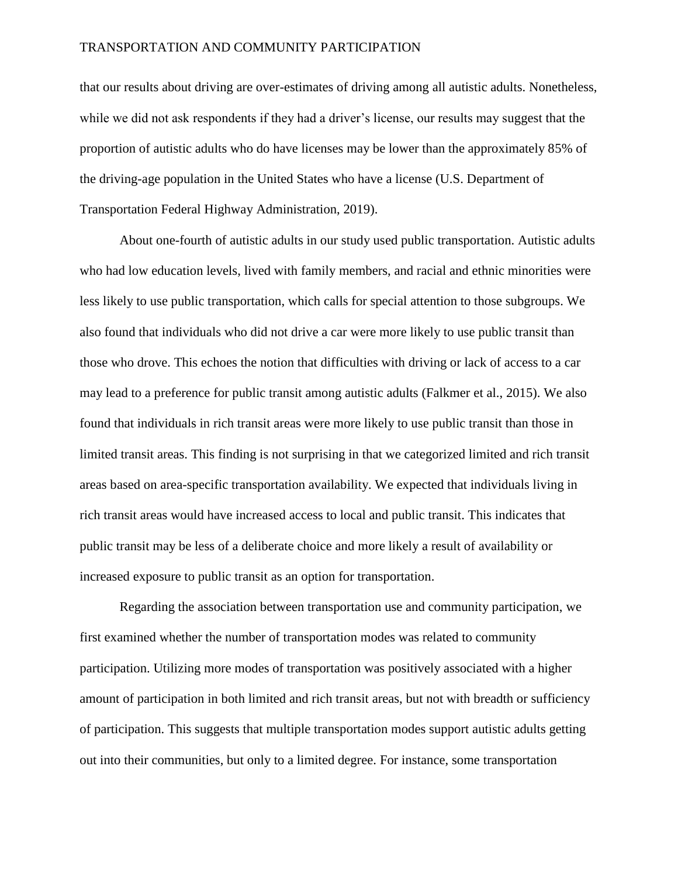that our results about driving are over-estimates of driving among all autistic adults. Nonetheless, while we did not ask respondents if they had a driver's license, our results may suggest that the proportion of autistic adults who do have licenses may be lower than the approximately 85% of the driving-age population in the United States who have a license (U.S. Department of Transportation Federal Highway Administration, 2019).

About one-fourth of autistic adults in our study used public transportation. Autistic adults who had low education levels, lived with family members, and racial and ethnic minorities were less likely to use public transportation, which calls for special attention to those subgroups. We also found that individuals who did not drive a car were more likely to use public transit than those who drove. This echoes the notion that difficulties with driving or lack of access to a car may lead to a preference for public transit among autistic adults (Falkmer et al., 2015). We also found that individuals in rich transit areas were more likely to use public transit than those in limited transit areas. This finding is not surprising in that we categorized limited and rich transit areas based on area-specific transportation availability. We expected that individuals living in rich transit areas would have increased access to local and public transit. This indicates that public transit may be less of a deliberate choice and more likely a result of availability or increased exposure to public transit as an option for transportation.

Regarding the association between transportation use and community participation, we first examined whether the number of transportation modes was related to community participation. Utilizing more modes of transportation was positively associated with a higher amount of participation in both limited and rich transit areas, but not with breadth or sufficiency of participation. This suggests that multiple transportation modes support autistic adults getting out into their communities, but only to a limited degree. For instance, some transportation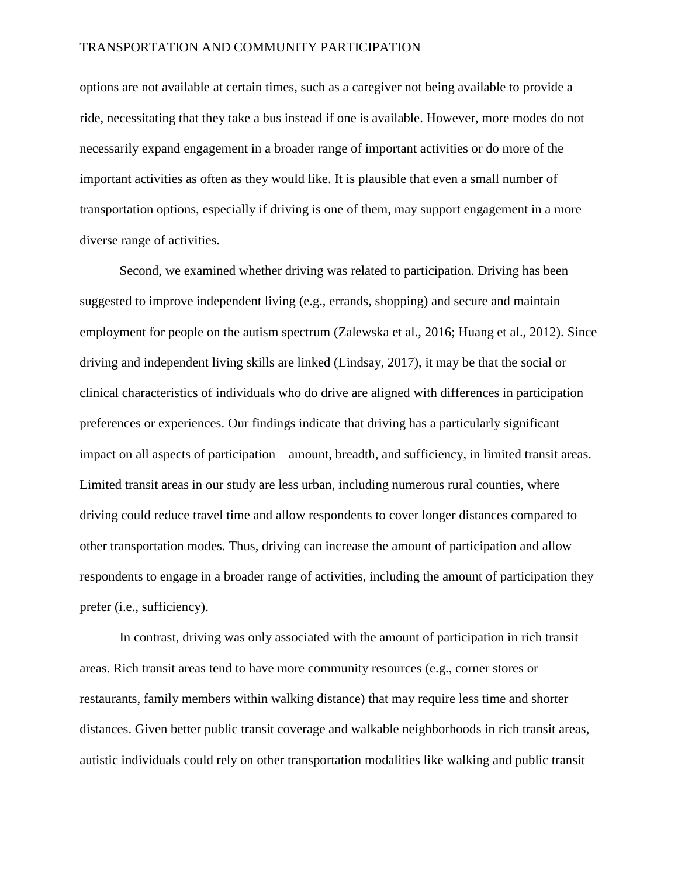options are not available at certain times, such as a caregiver not being available to provide a ride, necessitating that they take a bus instead if one is available. However, more modes do not necessarily expand engagement in a broader range of important activities or do more of the important activities as often as they would like. It is plausible that even a small number of transportation options, especially if driving is one of them, may support engagement in a more diverse range of activities.

Second, we examined whether driving was related to participation. Driving has been suggested to improve independent living (e.g., errands, shopping) and secure and maintain employment for people on the autism spectrum (Zalewska et al., 2016; Huang et al., 2012). Since driving and independent living skills are linked (Lindsay, 2017), it may be that the social or clinical characteristics of individuals who do drive are aligned with differences in participation preferences or experiences. Our findings indicate that driving has a particularly significant impact on all aspects of participation – amount, breadth, and sufficiency, in limited transit areas. Limited transit areas in our study are less urban, including numerous rural counties, where driving could reduce travel time and allow respondents to cover longer distances compared to other transportation modes. Thus, driving can increase the amount of participation and allow respondents to engage in a broader range of activities, including the amount of participation they prefer (i.e., sufficiency).

In contrast, driving was only associated with the amount of participation in rich transit areas. Rich transit areas tend to have more community resources (e.g., corner stores or restaurants, family members within walking distance) that may require less time and shorter distances. Given better public transit coverage and walkable neighborhoods in rich transit areas, autistic individuals could rely on other transportation modalities like walking and public transit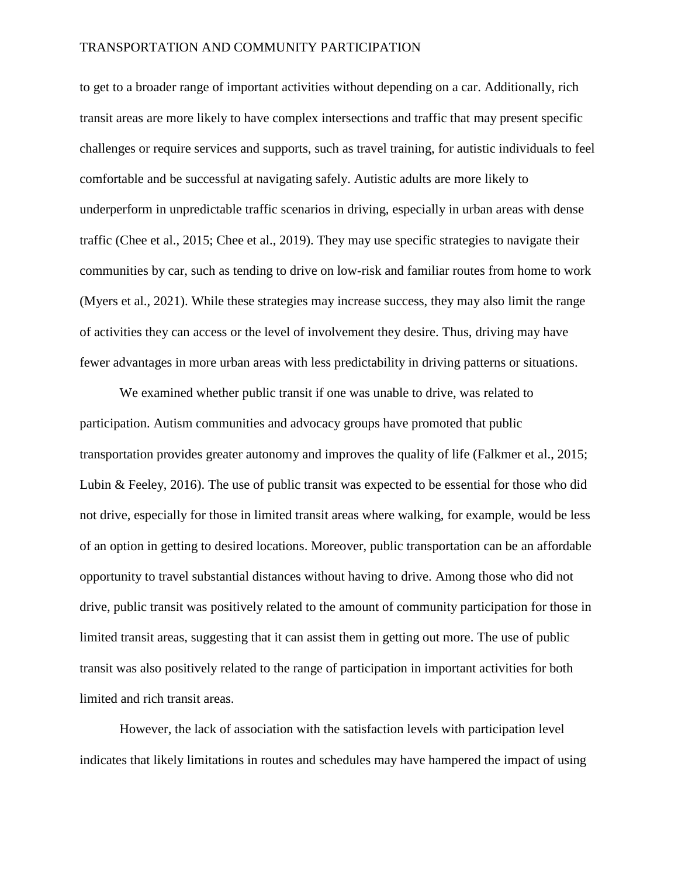to get to a broader range of important activities without depending on a car. Additionally, rich transit areas are more likely to have complex intersections and traffic that may present specific challenges or require services and supports, such as travel training, for autistic individuals to feel comfortable and be successful at navigating safely. Autistic adults are more likely to underperform in unpredictable traffic scenarios in driving, especially in urban areas with dense traffic (Chee et al., 2015; Chee et al., 2019). They may use specific strategies to navigate their communities by car, such as tending to drive on low-risk and familiar routes from home to work (Myers et al., 2021). While these strategies may increase success, they may also limit the range of activities they can access or the level of involvement they desire. Thus, driving may have fewer advantages in more urban areas with less predictability in driving patterns or situations.

We examined whether public transit if one was unable to drive, was related to participation. Autism communities and advocacy groups have promoted that public transportation provides greater autonomy and improves the quality of life (Falkmer et al., 2015; Lubin & Feeley, 2016). The use of public transit was expected to be essential for those who did not drive, especially for those in limited transit areas where walking, for example, would be less of an option in getting to desired locations. Moreover, public transportation can be an affordable opportunity to travel substantial distances without having to drive. Among those who did not drive, public transit was positively related to the amount of community participation for those in limited transit areas, suggesting that it can assist them in getting out more. The use of public transit was also positively related to the range of participation in important activities for both limited and rich transit areas.

However, the lack of association with the satisfaction levels with participation level indicates that likely limitations in routes and schedules may have hampered the impact of using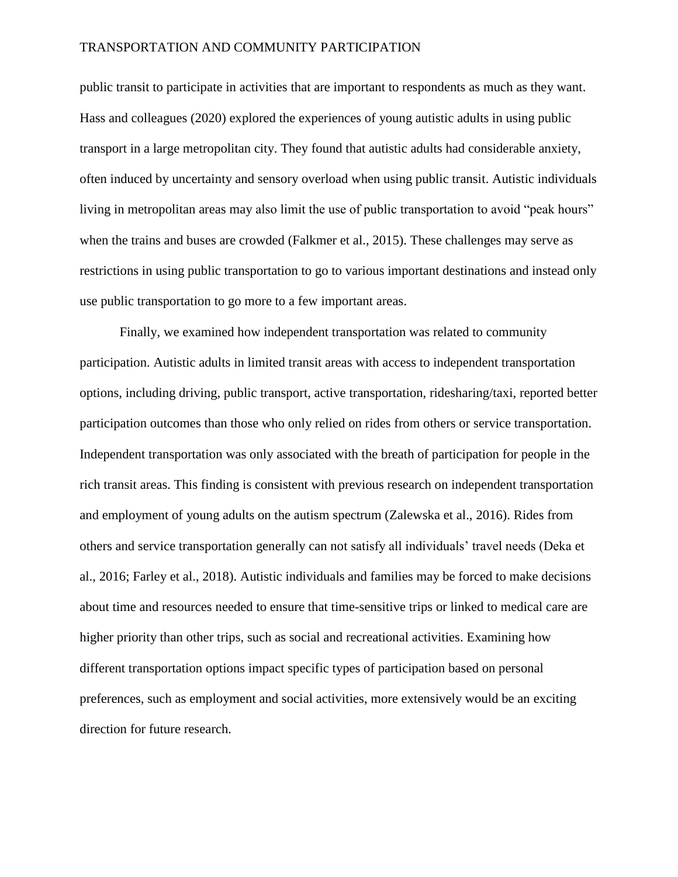public transit to participate in activities that are important to respondents as much as they want. Hass and colleagues (2020) explored the experiences of young autistic adults in using public transport in a large metropolitan city. They found that autistic adults had considerable anxiety, often induced by uncertainty and sensory overload when using public transit. Autistic individuals living in metropolitan areas may also limit the use of public transportation to avoid "peak hours" when the trains and buses are crowded (Falkmer et al., 2015). These challenges may serve as restrictions in using public transportation to go to various important destinations and instead only use public transportation to go more to a few important areas.

Finally, we examined how independent transportation was related to community participation. Autistic adults in limited transit areas with access to independent transportation options, including driving, public transport, active transportation, ridesharing/taxi, reported better participation outcomes than those who only relied on rides from others or service transportation. Independent transportation was only associated with the breath of participation for people in the rich transit areas. This finding is consistent with previous research on independent transportation and employment of young adults on the autism spectrum (Zalewska et al., 2016). Rides from others and service transportation generally can not satisfy all individuals' travel needs (Deka et al., 2016; Farley et al., 2018). Autistic individuals and families may be forced to make decisions about time and resources needed to ensure that time-sensitive trips or linked to medical care are higher priority than other trips, such as social and recreational activities. Examining how different transportation options impact specific types of participation based on personal preferences, such as employment and social activities, more extensively would be an exciting direction for future research.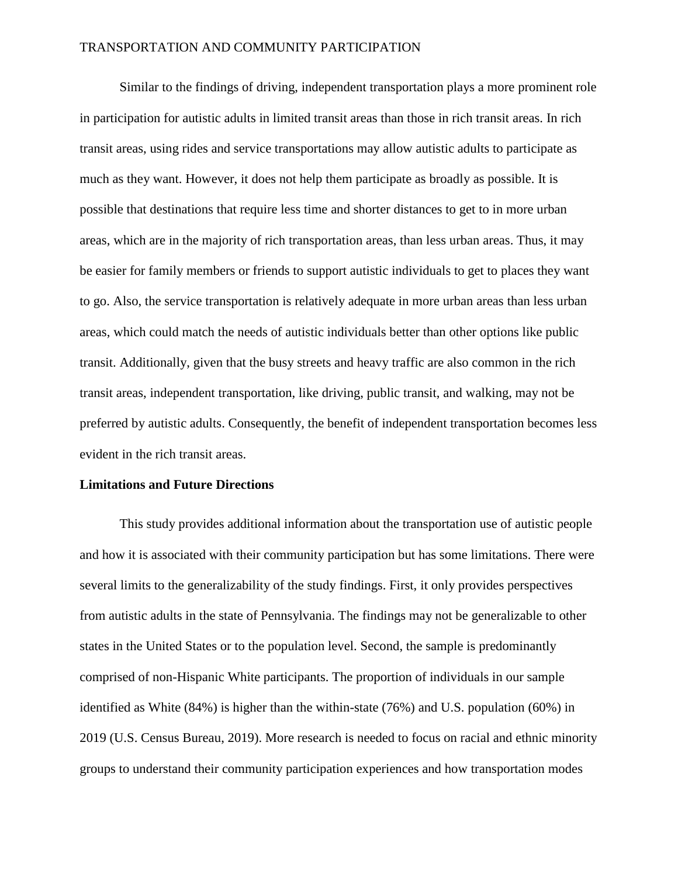Similar to the findings of driving, independent transportation plays a more prominent role in participation for autistic adults in limited transit areas than those in rich transit areas. In rich transit areas, using rides and service transportations may allow autistic adults to participate as much as they want. However, it does not help them participate as broadly as possible. It is possible that destinations that require less time and shorter distances to get to in more urban areas, which are in the majority of rich transportation areas, than less urban areas. Thus, it may be easier for family members or friends to support autistic individuals to get to places they want to go. Also, the service transportation is relatively adequate in more urban areas than less urban areas, which could match the needs of autistic individuals better than other options like public transit. Additionally, given that the busy streets and heavy traffic are also common in the rich transit areas, independent transportation, like driving, public transit, and walking, may not be preferred by autistic adults. Consequently, the benefit of independent transportation becomes less evident in the rich transit areas.

# **Limitations and Future Directions**

This study provides additional information about the transportation use of autistic people and how it is associated with their community participation but has some limitations. There were several limits to the generalizability of the study findings. First, it only provides perspectives from autistic adults in the state of Pennsylvania. The findings may not be generalizable to other states in the United States or to the population level. Second, the sample is predominantly comprised of non-Hispanic White participants. The proportion of individuals in our sample identified as White (84%) is higher than the within-state (76%) and U.S. population (60%) in 2019 (U.S. Census Bureau, 2019). More research is needed to focus on racial and ethnic minority groups to understand their community participation experiences and how transportation modes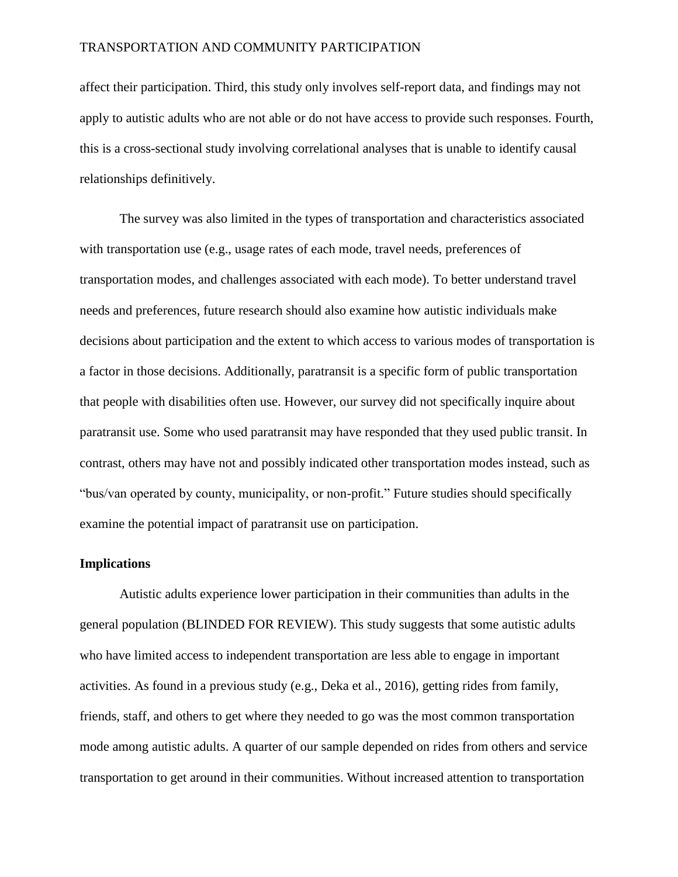affect their participation. Third, this study only involves self-report data, and findings may not apply to autistic adults who are not able or do not have access to provide such responses. Fourth, this is a cross-sectional study involving correlational analyses that is unable to identify causal relationships definitively.

The survey was also limited in the types of transportation and characteristics associated with transportation use (e.g., usage rates of each mode, travel needs, preferences of transportation modes, and challenges associated with each mode). To better understand travel needs and preferences, future research should also examine how autistic individuals make decisions about participation and the extent to which access to various modes of transportation is a factor in those decisions. Additionally, paratransit is a specific form of public transportation that people with disabilities often use. However, our survey did not specifically inquire about paratransit use. Some who used paratransit may have responded that they used public transit. In contrast, others may have not and possibly indicated other transportation modes instead, such as "bus/van operated by county, municipality, or non-profit." Future studies should specifically examine the potential impact of paratransit use on participation.

# **Implications**

Autistic adults experience lower participation in their communities than adults in the general population (BLINDED FOR REVIEW). This study suggests that some autistic adults who have limited access to independent transportation are less able to engage in important activities. As found in a previous study (e.g., Deka et al., 2016), getting rides from family, friends, staff, and others to get where they needed to go was the most common transportation mode among autistic adults. A quarter of our sample depended on rides from others and service transportation to get around in their communities. Without increased attention to transportation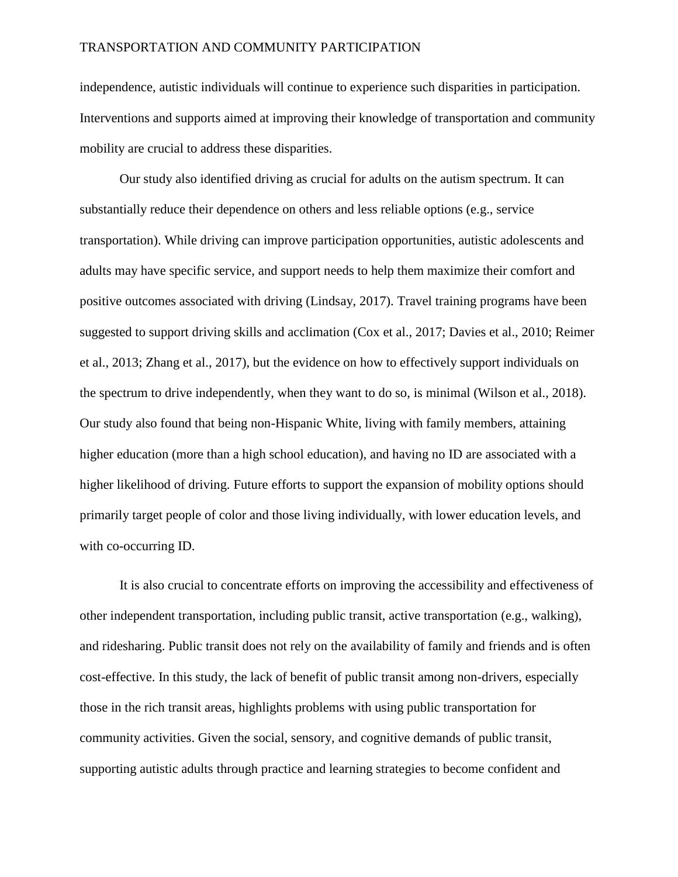independence, autistic individuals will continue to experience such disparities in participation. Interventions and supports aimed at improving their knowledge of transportation and community mobility are crucial to address these disparities.

Our study also identified driving as crucial for adults on the autism spectrum. It can substantially reduce their dependence on others and less reliable options (e.g., service transportation). While driving can improve participation opportunities, autistic adolescents and adults may have specific service, and support needs to help them maximize their comfort and positive outcomes associated with driving (Lindsay, 2017). Travel training programs have been suggested to support driving skills and acclimation (Cox et al., 2017; Davies et al., 2010; Reimer et al., 2013; Zhang et al., 2017), but the evidence on how to effectively support individuals on the spectrum to drive independently, when they want to do so, is minimal (Wilson et al., 2018). Our study also found that being non-Hispanic White, living with family members, attaining higher education (more than a high school education), and having no ID are associated with a higher likelihood of driving. Future efforts to support the expansion of mobility options should primarily target people of color and those living individually, with lower education levels, and with co-occurring ID.

It is also crucial to concentrate efforts on improving the accessibility and effectiveness of other independent transportation, including public transit, active transportation (e.g., walking), and ridesharing. Public transit does not rely on the availability of family and friends and is often cost-effective. In this study, the lack of benefit of public transit among non-drivers, especially those in the rich transit areas, highlights problems with using public transportation for community activities. Given the social, sensory, and cognitive demands of public transit, supporting autistic adults through practice and learning strategies to become confident and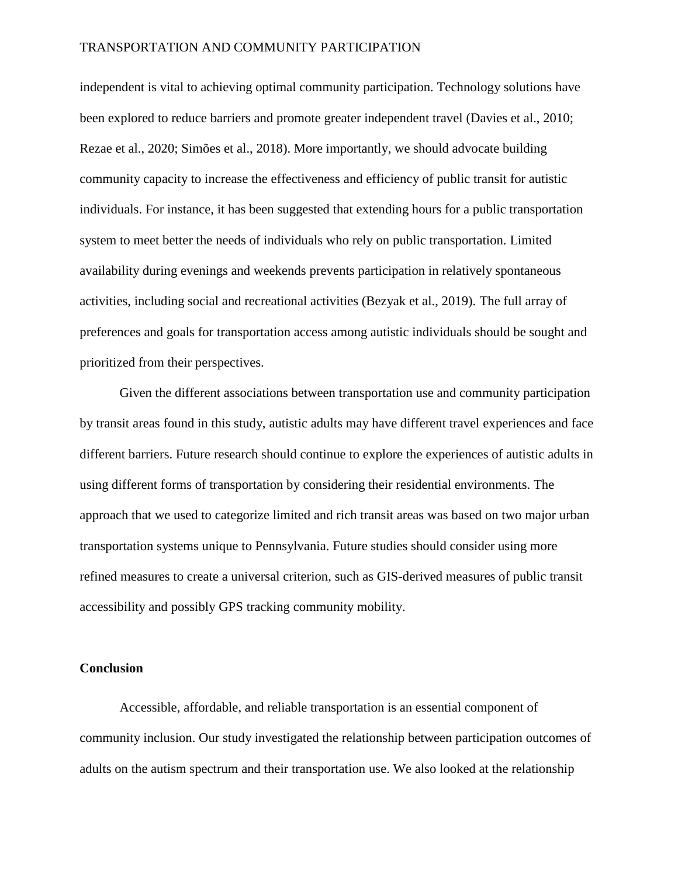independent is vital to achieving optimal community participation. Technology solutions have been explored to reduce barriers and promote greater independent travel (Davies et al., 2010; Rezae et al., 2020; Simões et al., 2018). More importantly, we should advocate building community capacity to increase the effectiveness and efficiency of public transit for autistic individuals. For instance, it has been suggested that extending hours for a public transportation system to meet better the needs of individuals who rely on public transportation. Limited availability during evenings and weekends prevents participation in relatively spontaneous activities, including social and recreational activities (Bezyak et al., 2019). The full array of preferences and goals for transportation access among autistic individuals should be sought and prioritized from their perspectives.

Given the different associations between transportation use and community participation by transit areas found in this study, autistic adults may have different travel experiences and face different barriers. Future research should continue to explore the experiences of autistic adults in using different forms of transportation by considering their residential environments. The approach that we used to categorize limited and rich transit areas was based on two major urban transportation systems unique to Pennsylvania. Future studies should consider using more refined measures to create a universal criterion, such as GIS-derived measures of public transit accessibility and possibly GPS tracking community mobility.

# **Conclusion**

Accessible, affordable, and reliable transportation is an essential component of community inclusion. Our study investigated the relationship between participation outcomes of adults on the autism spectrum and their transportation use. We also looked at the relationship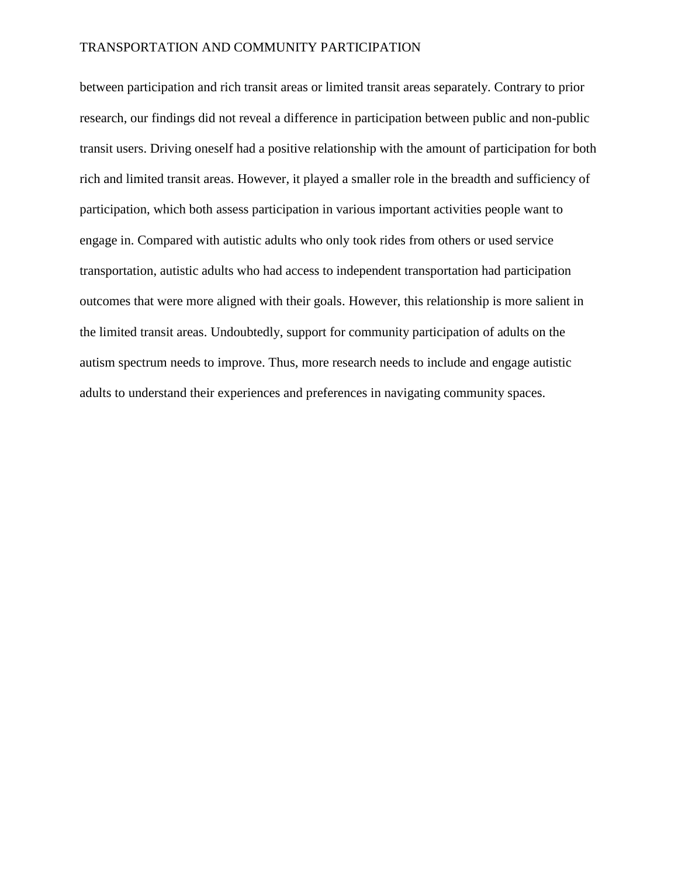between participation and rich transit areas or limited transit areas separately. Contrary to prior research, our findings did not reveal a difference in participation between public and non-public transit users. Driving oneself had a positive relationship with the amount of participation for both rich and limited transit areas. However, it played a smaller role in the breadth and sufficiency of participation, which both assess participation in various important activities people want to engage in. Compared with autistic adults who only took rides from others or used service transportation, autistic adults who had access to independent transportation had participation outcomes that were more aligned with their goals. However, this relationship is more salient in the limited transit areas. Undoubtedly, support for community participation of adults on the autism spectrum needs to improve. Thus, more research needs to include and engage autistic adults to understand their experiences and preferences in navigating community spaces.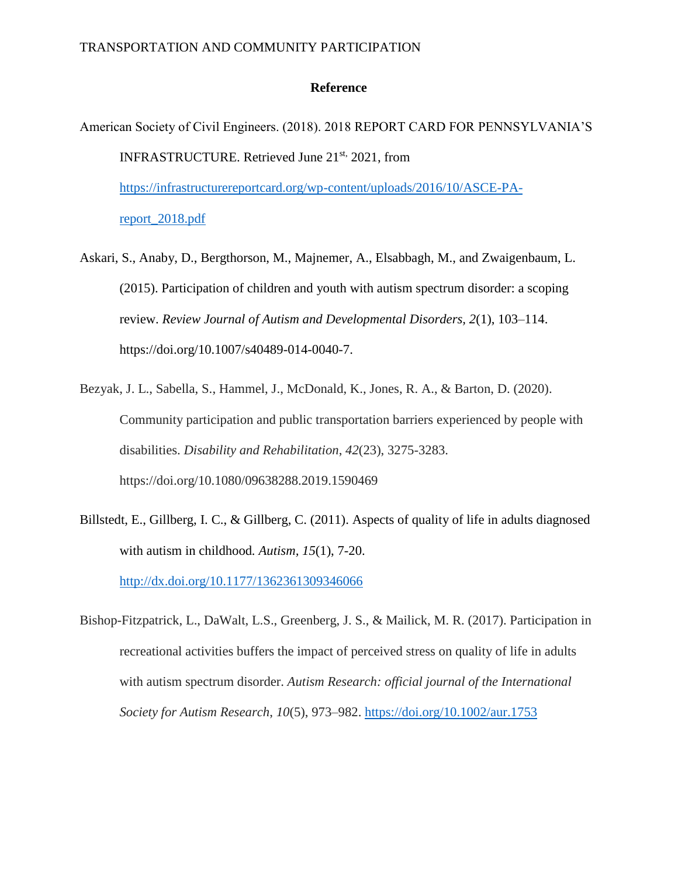## **Reference**

- American Society of Civil Engineers. (2018). 2018 REPORT CARD FOR PENNSYLVANIA'S INFRASTRUCTURE. Retrieved June 21<sup>st,</sup> 2021, from [https://infrastructurereportcard.org/wp-content/uploads/2016/10/ASCE-PA](https://infrastructurereportcard.org/wp-content/uploads/2016/10/ASCE-PA-report_2018.pdf)[report\\_2018.pdf](https://infrastructurereportcard.org/wp-content/uploads/2016/10/ASCE-PA-report_2018.pdf)
- Askari, S., Anaby, D., Bergthorson, M., Majnemer, A., Elsabbagh, M., and Zwaigenbaum, L. (2015). Participation of children and youth with autism spectrum disorder: a scoping review. *Review Journal of Autism and Developmental Disorders, 2*(1), 103–114. https://doi.org/10.1007/s40489-014-0040-7.
- Bezyak, J. L., Sabella, S., Hammel, J., McDonald, K., Jones, R. A., & Barton, D. (2020). Community participation and public transportation barriers experienced by people with disabilities. *Disability and Rehabilitation*, *42*(23), 3275-3283. https://doi.org/10.1080/09638288.2019.1590469
- Billstedt, E., Gillberg, I. C., & Gillberg, C. (2011). Aspects of quality of life in adults diagnosed with autism in childhood*. Autism, 15*(1), 7-20. <http://dx.doi.org/10.1177/1362361309346066>
- Bishop-Fitzpatrick, L., DaWalt, L.S., Greenberg, J. S., & Mailick, M. R. (2017). Participation in recreational activities buffers the impact of perceived stress on quality of life in adults with autism spectrum disorder. *Autism Research: official journal of the International Society for Autism Research*, *10*(5), 973–982.<https://doi.org/10.1002/aur.1753>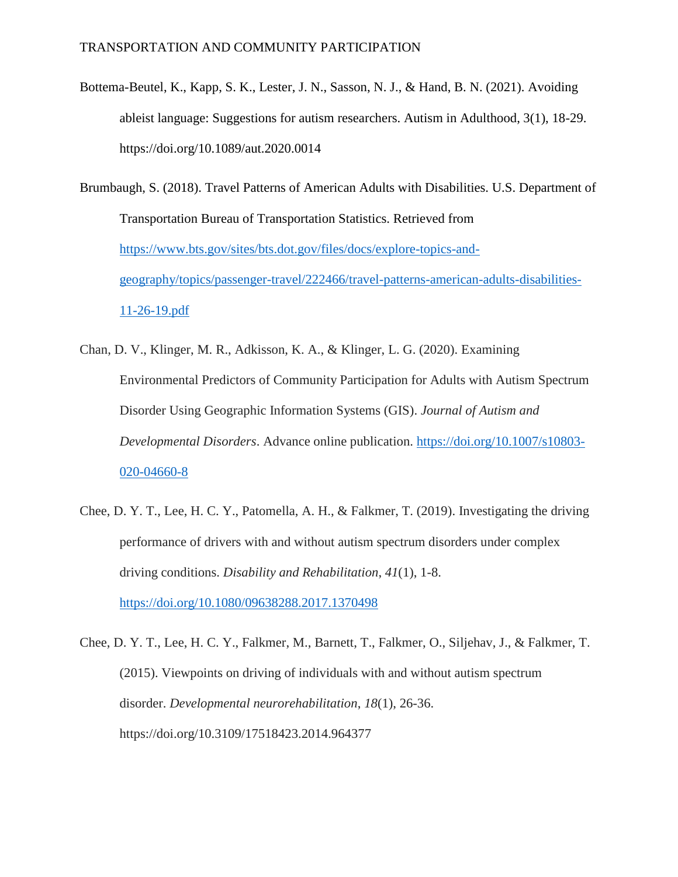Bottema-Beutel, K., Kapp, S. K., Lester, J. N., Sasson, N. J., & Hand, B. N. (2021). Avoiding ableist language: Suggestions for autism researchers. Autism in Adulthood, 3(1), 18-29. https://doi.org/10.1089/aut.2020.0014

Brumbaugh, S. (2018). Travel Patterns of American Adults with Disabilities. U.S. Department of Transportation Bureau of Transportation Statistics. Retrieved from [https://www.bts.gov/sites/bts.dot.gov/files/docs/explore-topics-and](https://www.bts.gov/sites/bts.dot.gov/files/docs/explore-topics-and-geography/topics/passenger-travel/222466/travel-patterns-american-adults-disabilities-11-26-19.pdf)[geography/topics/passenger-travel/222466/travel-patterns-american-adults-disabilities-](https://www.bts.gov/sites/bts.dot.gov/files/docs/explore-topics-and-geography/topics/passenger-travel/222466/travel-patterns-american-adults-disabilities-11-26-19.pdf)[11-26-19.pdf](https://www.bts.gov/sites/bts.dot.gov/files/docs/explore-topics-and-geography/topics/passenger-travel/222466/travel-patterns-american-adults-disabilities-11-26-19.pdf)

- Chan, D. V., Klinger, M. R., Adkisson, K. A., & Klinger, L. G. (2020). Examining Environmental Predictors of Community Participation for Adults with Autism Spectrum Disorder Using Geographic Information Systems (GIS). *Journal of Autism and Developmental Disorders*. Advance online publication. [https://doi.org/10.1007/s10803-](https://doi.org/10.1007/s10803-020-04660-8) [020-04660-8](https://doi.org/10.1007/s10803-020-04660-8)
- Chee, D. Y. T., Lee, H. C. Y., Patomella, A. H., & Falkmer, T. (2019). Investigating the driving performance of drivers with and without autism spectrum disorders under complex driving conditions. *Disability and Rehabilitation*, *41*(1), 1-8. <https://doi.org/10.1080/09638288.2017.1370498>

Chee, D. Y. T., Lee, H. C. Y., Falkmer, M., Barnett, T., Falkmer, O., Siljehav, J., & Falkmer, T. (2015). Viewpoints on driving of individuals with and without autism spectrum disorder. *Developmental neurorehabilitation*, *18*(1), 26-36. https://doi.org/10.3109/17518423.2014.964377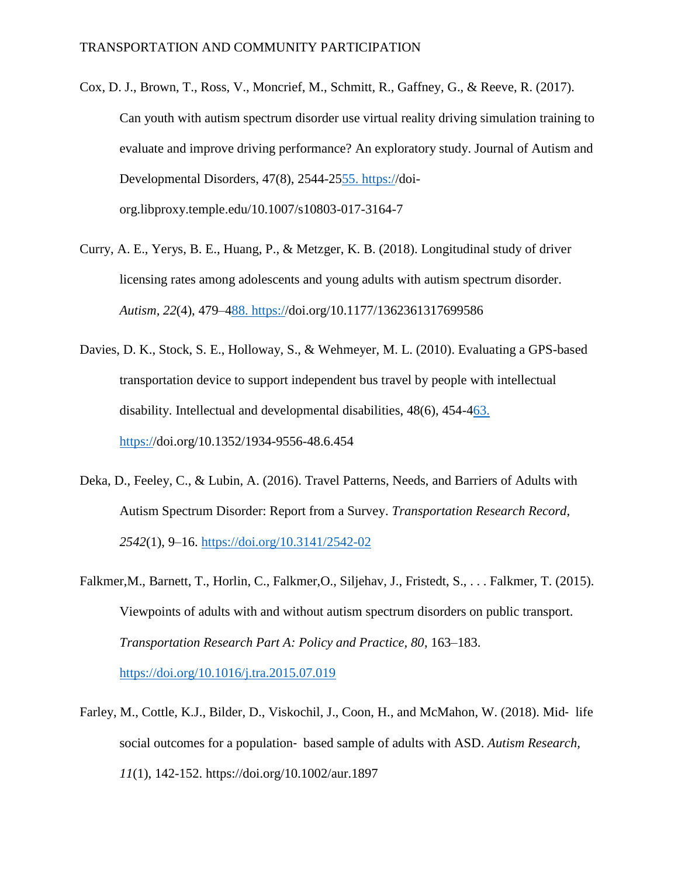- Cox, D. J., Brown, T., Ross, V., Moncrief, M., Schmitt, R., Gaffney, G., & Reeve, R. (2017). Can youth with autism spectrum disorder use virtual reality driving simulation training to evaluate and improve driving performance? An exploratory study. Journal of Autism and Developmental Disorders, 47(8), 2544-2[555.](about:blank) [https://](about:blank)doiorg.libproxy.temple.edu/10.1007/s10803-017-3164-7
- Curry, A. E., Yerys, B. E., Huang, P., & Metzger, K. B. (2018). Longitudinal study of driver licensing rates among adolescents and young adults with autism spectrum disorder. *Autism, 22*(4), 479–[488. https://](about:blank)doi.org/10.1177/1362361317699586
- Davies, D. K., Stock, S. E., Holloway, S., & Wehmeyer, M. L. (2010). Evaluating a GPS-based transportation device to support independent bus travel by people with intellectual disability. Intellectual and developmental disabilities, 48(6), 454-[463.](about:blank)  [https://](about:blank)doi.org/10.1352/1934-9556-48.6.454
- Deka, D., Feeley, C., & Lubin, A. (2016). Travel Patterns, Needs, and Barriers of Adults with Autism Spectrum Disorder: Report from a Survey. *Transportation Research Record, 2542*(1), 9–16.<https://doi.org/10.3141/2542-02>
- Falkmer,M., Barnett, T., Horlin, C., Falkmer,O., Siljehav, J., Fristedt, S., . . . Falkmer, T. (2015). Viewpoints of adults with and without autism spectrum disorders on public transport. *Transportation Research Part A: Policy and Practice, 80*, 163–183. <https://doi.org/10.1016/j.tra.2015.07.019>
- Farley, M., Cottle, K.J., Bilder, D., Viskochil, J., Coon, H., and McMahon, W. (2018). Mid‐ life social outcomes for a population‐ based sample of adults with ASD. *Autism Research, 11*(1), 142-152. https://doi.org/10.1002/aur.1897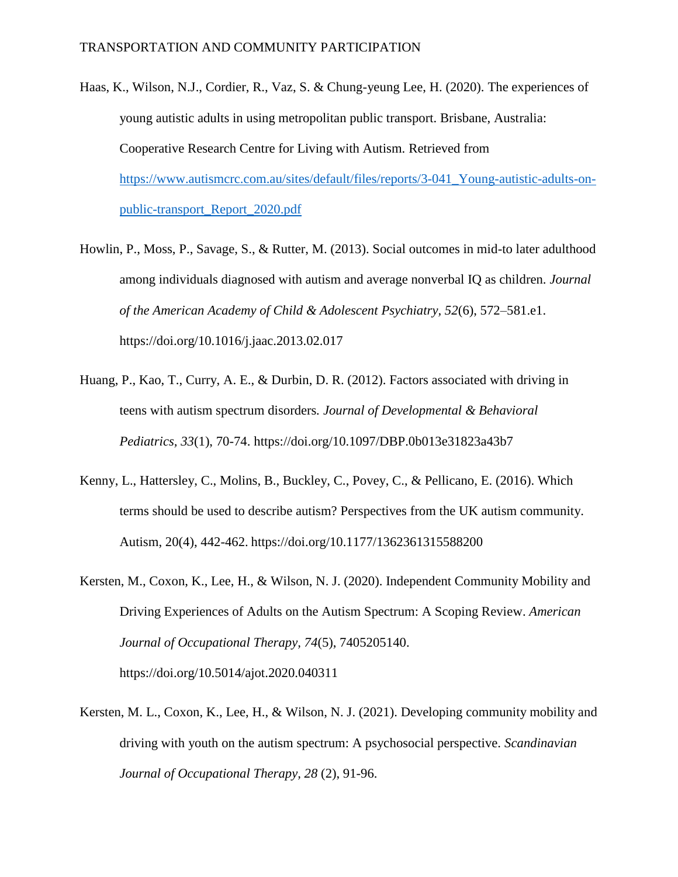- Haas, K., Wilson, N.J., Cordier, R., Vaz, S. & Chung-yeung Lee, H. (2020). The experiences of young autistic adults in using metropolitan public transport. Brisbane, Australia: Cooperative Research Centre for Living with Autism. Retrieved from [https://www.autismcrc.com.au/sites/default/files/reports/3-041\\_Young-autistic-adults-on](https://www.autismcrc.com.au/sites/default/files/reports/3-041_Young-autistic-adults-on-public-transport_Report_2020.pdf)[public-transport\\_Report\\_2020.pdf](https://www.autismcrc.com.au/sites/default/files/reports/3-041_Young-autistic-adults-on-public-transport_Report_2020.pdf)
- Howlin, P., Moss, P., Savage, S., & Rutter, M. (2013). Social outcomes in mid-to later adulthood among individuals diagnosed with autism and average nonverbal IQ as children. *Journal of the American Academy of Child & Adolescent Psychiatry, 52*(6), 572–581.e1. https://doi.org/10.1016/j.jaac.2013.02.017
- Huang, P., Kao, T., Curry, A. E., & Durbin, D. R. (2012). Factors associated with driving in teens with autism spectrum disorders*. Journal of Developmental & Behavioral Pediatrics, 33*(1), 70-74. https://doi.org/10.1097/DBP.0b013e31823a43b7
- Kenny, L., Hattersley, C., Molins, B., Buckley, C., Povey, C., & Pellicano, E. (2016). Which terms should be used to describe autism? Perspectives from the UK autism community. Autism, 20(4), 442-462. https://doi.org/10.1177/1362361315588200
- Kersten, M., Coxon, K., Lee, H., & Wilson, N. J. (2020). Independent Community Mobility and Driving Experiences of Adults on the Autism Spectrum: A Scoping Review. *American Journal of Occupational Therapy, 74*(5), 7405205140. https://doi.org/10.5014/ajot.2020.040311
- Kersten, M. L., Coxon, K., Lee, H., & Wilson, N. J. (2021). Developing community mobility and driving with youth on the autism spectrum: A psychosocial perspective. *Scandinavian Journal of Occupational Therapy, 28* (2), 91-96.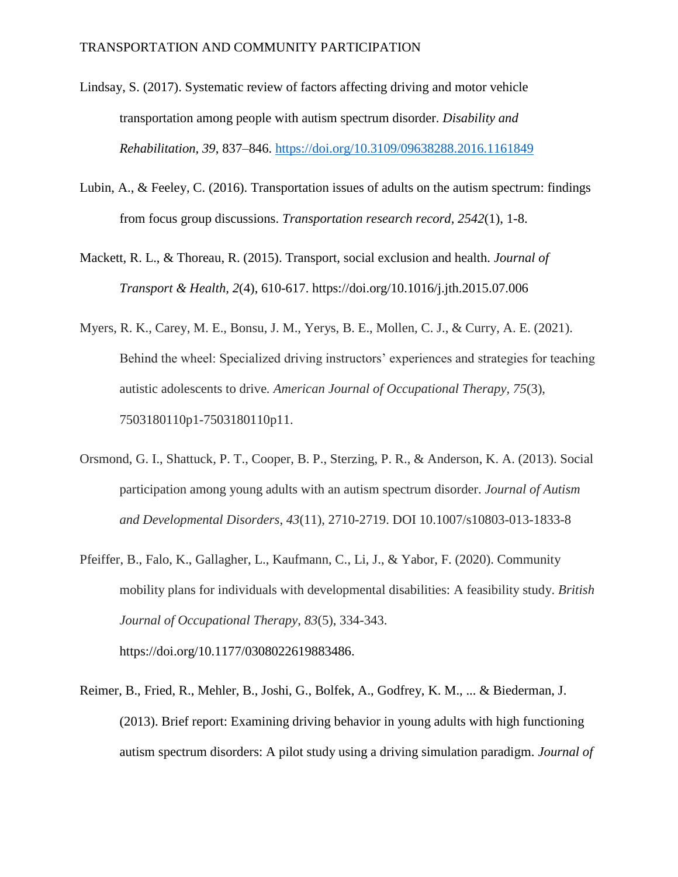- Lindsay, S. (2017). Systematic review of factors affecting driving and motor vehicle transportation among people with autism spectrum disorder. *Disability and Rehabilitation, 39*, 837–846.<https://doi.org/10.3109/09638288.2016.1161849>
- Lubin, A., & Feeley, C. (2016). Transportation issues of adults on the autism spectrum: findings from focus group discussions. *Transportation research record, 2542*(1), 1-8.
- Mackett, R. L., & Thoreau, R. (2015). Transport, social exclusion and health. *Journal of Transport & Health, 2*(4), 610-617. https://doi.org/10.1016/j.jth.2015.07.006
- Myers, R. K., Carey, M. E., Bonsu, J. M., Yerys, B. E., Mollen, C. J., & Curry, A. E. (2021). Behind the wheel: Specialized driving instructors' experiences and strategies for teaching autistic adolescents to drive*. American Journal of Occupational Therapy, 75*(3), 7503180110p1-7503180110p11.
- Orsmond, G. I., Shattuck, P. T., Cooper, B. P., Sterzing, P. R., & Anderson, K. A. (2013). Social participation among young adults with an autism spectrum disorder. *Journal of Autism and Developmental Disorders*, *43*(11), 2710-2719. DOI 10.1007/s10803-013-1833-8
- Pfeiffer, B., Falo, K., Gallagher, L., Kaufmann, C., Li, J., & Yabor, F. (2020). Community mobility plans for individuals with developmental disabilities: A feasibility study. *British Journal of Occupational Therapy*, *83*(5), 334-343. https://doi.org/10.1177/0308022619883486.
- Reimer, B., Fried, R., Mehler, B., Joshi, G., Bolfek, A., Godfrey, K. M., ... & Biederman, J. (2013). Brief report: Examining driving behavior in young adults with high functioning autism spectrum disorders: A pilot study using a driving simulation paradigm. *Journal of*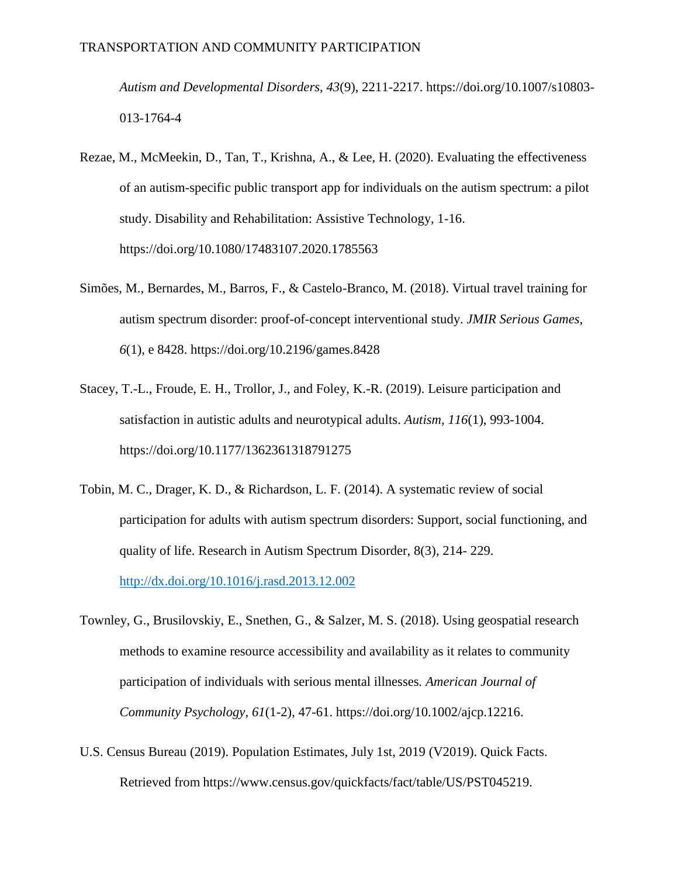*Autism and Developmental Disorders, 43*(9), 2211-2217. https://doi.org/10.1007/s10803- 013-1764-4

- Rezae, M., McMeekin, D., Tan, T., Krishna, A., & Lee, H. (2020). Evaluating the effectiveness of an autism-specific public transport app for individuals on the autism spectrum: a pilot study. Disability and Rehabilitation: Assistive Technology, 1-16. https://doi.org/10.1080/17483107.2020.1785563
- Simões, M., Bernardes, M., Barros, F., & Castelo-Branco, M. (2018). Virtual travel training for autism spectrum disorder: proof-of-concept interventional study. *JMIR Serious Games, 6*(1), e 8428. https://doi.org/10.2196/games.8428
- Stacey, T.-L., Froude, E. H., Trollor, J., and Foley, K.-R. (2019). Leisure participation and satisfaction in autistic adults and neurotypical adults. *Autism, 116*(1), 993-1004. https://doi.org/10.1177/1362361318791275
- Tobin, M. C., Drager, K. D., & Richardson, L. F. (2014). A systematic review of social participation for adults with autism spectrum disorders: Support, social functioning, and quality of life. Research in Autism Spectrum Disorder, 8(3), 214- 229. <http://dx.doi.org/10.1016/j.rasd.2013.12.002>
- Townley, G., Brusilovskiy, E., Snethen, G., & Salzer, M. S. (2018). Using geospatial research methods to examine resource accessibility and availability as it relates to community participation of individuals with serious mental illnesses*. American Journal of Community Psychology, 61*(1-2), 47-61. https://doi.org/10.1002/ajcp.12216.
- U.S. Census Bureau (2019). Population Estimates, July 1st, 2019 (V2019). Quick Facts. Retrieved from https://www.census.gov/quickfacts/fact/table/US/PST045219.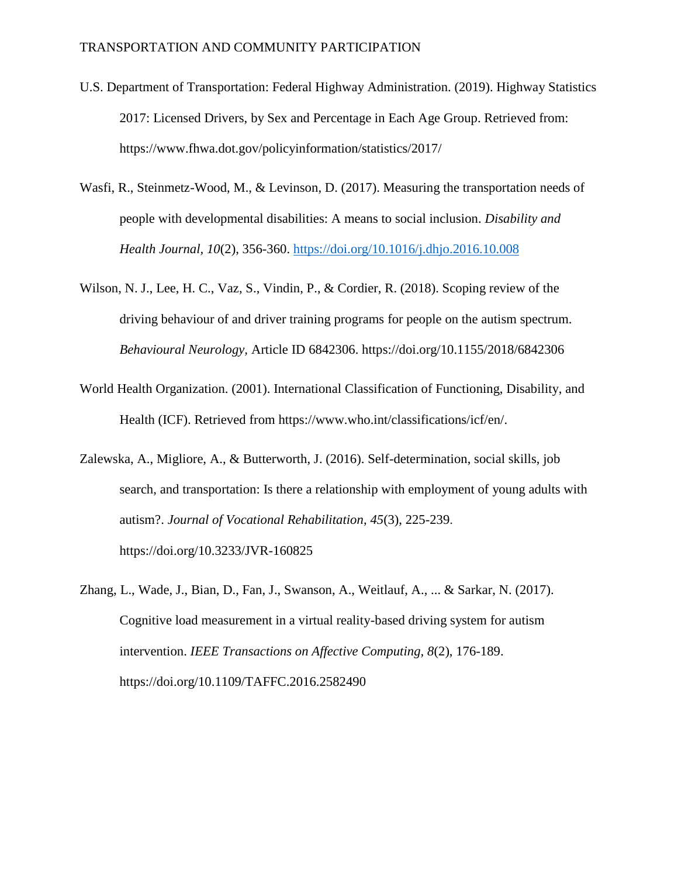- U.S. Department of Transportation: Federal Highway Administration. (2019). Highway Statistics 2017: Licensed Drivers, by Sex and Percentage in Each Age Group. Retrieved from: https://www.fhwa.dot.gov/policyinformation/statistics/2017/
- Wasfi, R., Steinmetz-Wood, M., & Levinson, D. (2017). Measuring the transportation needs of people with developmental disabilities: A means to social inclusion. *Disability and Health Journal, 10*(2), 356-360.<https://doi.org/10.1016/j.dhjo.2016.10.008>
- Wilson, N. J., Lee, H. C., Vaz, S., Vindin, P., & Cordier, R. (2018). Scoping review of the driving behaviour of and driver training programs for people on the autism spectrum. *Behavioural Neurology,* Article ID 6842306. https://doi.org/10.1155/2018/6842306
- World Health Organization. (2001). International Classification of Functioning, Disability, and Health (ICF). Retrieved from https://www.who.int/classifications/icf/en/.
- Zalewska, A., Migliore, A., & Butterworth, J. (2016). Self-determination, social skills, job search, and transportation: Is there a relationship with employment of young adults with autism?. *Journal of Vocational Rehabilitation*, *45*(3), 225-239. https://doi.org/10.3233/JVR-160825
- Zhang, L., Wade, J., Bian, D., Fan, J., Swanson, A., Weitlauf, A., ... & Sarkar, N. (2017). Cognitive load measurement in a virtual reality-based driving system for autism intervention. *IEEE Transactions on Affective Computing, 8*(2), 176-189. https://doi.org/10.1109/TAFFC.2016.2582490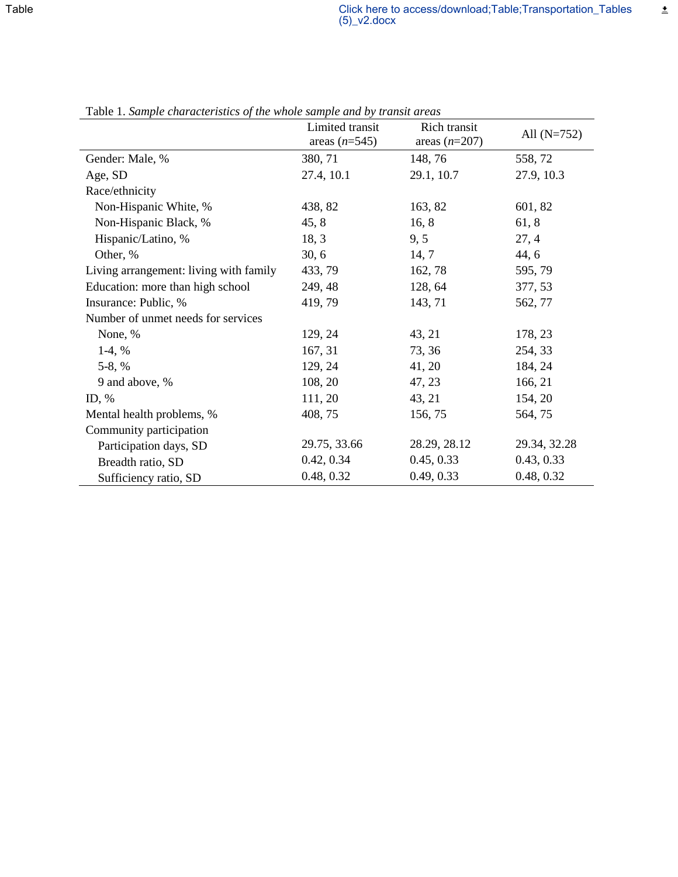|                                        | Limited transit<br>areas $(n=545)$ | Rich transit<br>areas $(n=207)$ | All $(N=752)$ |
|----------------------------------------|------------------------------------|---------------------------------|---------------|
| Gender: Male, %                        | 380, 71                            | 148, 76                         | 558,72        |
| Age, SD                                | 27.4, 10.1                         | 29.1, 10.7                      | 27.9, 10.3    |
| Race/ethnicity                         |                                    |                                 |               |
| Non-Hispanic White, %                  | 438, 82                            | 163, 82                         | 601, 82       |
| Non-Hispanic Black, %                  | 45, 8                              | 16, 8                           | 61, 8         |
| Hispanic/Latino, %                     | 18, 3                              | 9, 5                            | 27, 4         |
| Other, %                               | 30, 6                              | 14, 7                           | 44, 6         |
| Living arrangement: living with family | 433, 79                            | 162, 78                         | 595, 79       |
| Education: more than high school       | 249, 48                            | 128, 64                         | 377, 53       |
| Insurance: Public, %                   | 419, 79                            | 143, 71                         | 562, 77       |
| Number of unmet needs for services     |                                    |                                 |               |
| None, %                                | 129, 24                            | 43, 21                          | 178, 23       |
| $1-4, %$                               | 167, 31                            | 73, 36                          | 254, 33       |
| $5-8, %$                               | 129, 24                            | 41, 20                          | 184, 24       |
| 9 and above, %                         | 108, 20                            | 47, 23                          | 166, 21       |
| ID, $%$                                | 111, 20                            | 43, 21                          | 154, 20       |
| Mental health problems, %              | 408, 75                            | 156, 75                         | 564,75        |
| Community participation                |                                    |                                 |               |
| Participation days, SD                 | 29.75, 33.66                       | 28.29, 28.12                    | 29.34, 32.28  |
| Breadth ratio, SD                      | 0.42, 0.34                         | 0.45, 0.33                      | 0.43, 0.33    |
| Sufficiency ratio, SD                  | 0.48, 0.32                         | 0.49, 0.33                      | 0.48, 0.32    |

Table 1. *Sample characteristics of the whole sample and by transit areas*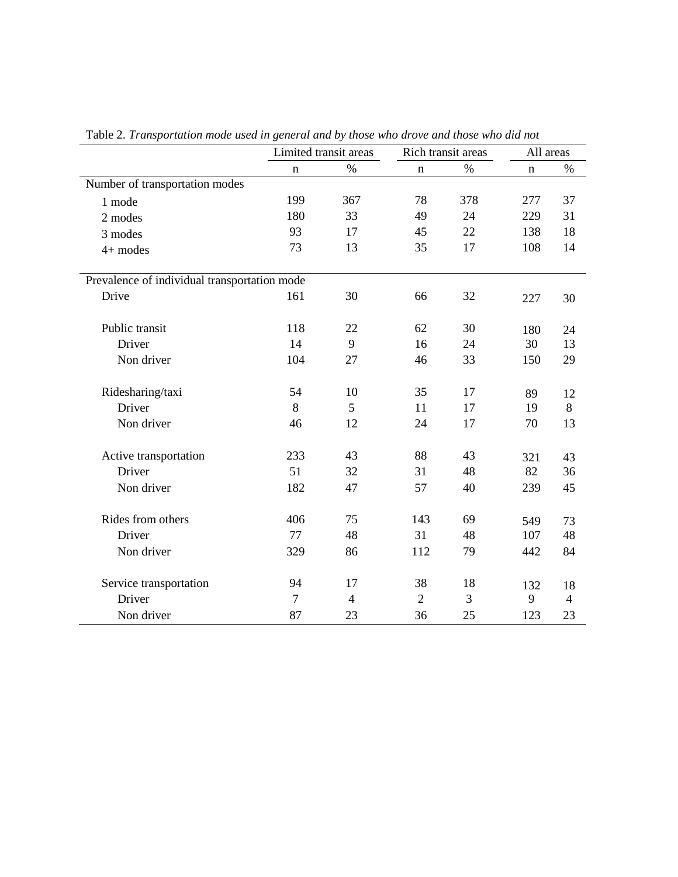|                                              | Limited transit areas |                | Rich transit areas |      | All areas   |                |
|----------------------------------------------|-----------------------|----------------|--------------------|------|-------------|----------------|
|                                              | $\mathbf n$           | $\%$           | $\mathbf n$        | $\%$ | $\mathbf n$ | $\%$           |
| Number of transportation modes               |                       |                |                    |      |             |                |
| 1 mode                                       | 199                   | 367            | 78                 | 378  | 277         | 37             |
| 2 modes                                      | 180                   | 33             | 49                 | 24   | 229         | 31             |
| 3 modes                                      | 93                    | 17             | 45                 | 22   | 138         | 18             |
| $4+$ modes                                   | 73                    | 13             | 35                 | 17   | 108         | 14             |
| Prevalence of individual transportation mode |                       |                |                    |      |             |                |
| Drive                                        | 161                   | 30             | 66                 | 32   | 227         | 30             |
| Public transit                               | 118                   | 22             | 62                 | 30   | 180         | 24             |
| Driver                                       | 14                    | 9              | 16                 | 24   | 30          | 13             |
| Non driver                                   | 104                   | 27             | 46                 | 33   | 150         | 29             |
| Ridesharing/taxi                             | 54                    | 10             | 35                 | 17   | 89          | 12             |
| Driver                                       | 8                     | 5              | 11                 | 17   | 19          | $8\,$          |
| Non driver                                   | 46                    | 12             | 24                 | 17   | 70          | 13             |
| Active transportation                        | 233                   | 43             | 88                 | 43   | 321         | 43             |
| Driver                                       | 51                    | 32             | 31                 | 48   | 82          | 36             |
| Non driver                                   | 182                   | 47             | 57                 | 40   | 239         | 45             |
| Rides from others                            | 406                   | 75             | 143                | 69   | 549         | 73             |
| Driver                                       | 77                    | 48             | 31                 | 48   | 107         | 48             |
| Non driver                                   | 329                   | 86             | 112                | 79   | 442         | 84             |
| Service transportation                       | 94                    | 17             | 38                 | 18   | 132         | 18             |
| Driver                                       | $\overline{7}$        | $\overline{4}$ | $\overline{2}$     | 3    | 9           | $\overline{4}$ |
| Non driver                                   | 87                    | 23             | 36                 | 25   | 123         | 23             |

Table 2. *Transportation mode used in general and by those who drove and those who did not*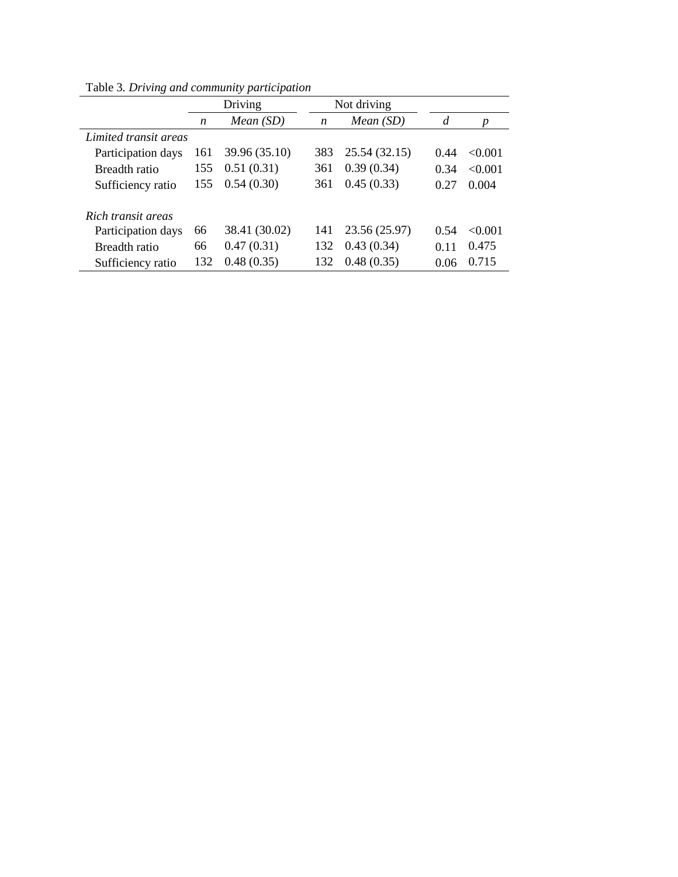|                       |     | Driving       |     | Not driving   |                |         |
|-----------------------|-----|---------------|-----|---------------|----------------|---------|
|                       | n   | Mean(SD)      | n   | Mean(SD)      | $\overline{d}$ | p       |
| Limited transit areas |     |               |     |               |                |         |
| Participation days    | 161 | 39.96 (35.10) | 383 | 25.54 (32.15) | 0.44           | <0.001  |
| Breadth ratio         | 155 | 0.51(0.31)    | 361 | 0.39(0.34)    | 0.34           | < 0.001 |
| Sufficiency ratio     | 155 | 0.54(0.30)    | 361 | 0.45(0.33)    | 0.27           | 0.004   |
| Rich transit areas    |     |               |     |               |                |         |
| Participation days    | 66  | 38.41 (30.02) | 141 | 23.56 (25.97) | 0.54           | < 0.001 |
| Breadth ratio         | 66  | 0.47(0.31)    | 132 | 0.43(0.34)    | 0.11           | 0.475   |
| Sufficiency ratio     | 132 | 0.48(0.35)    | 132 | 0.48(0.35)    | 0.06           | 0.715   |

Table 3*. Driving and community participation*